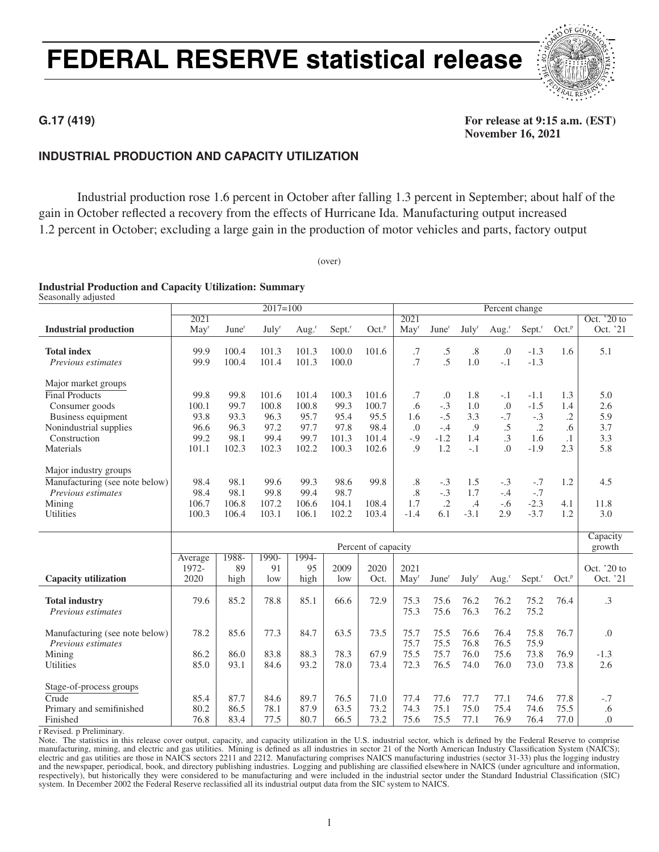# FEDERAL RESERVE statistical release



# **INDUSTRIAL PRODUCTION AND CAPACITY UTILIZATION**

Industrial production rose 1.6 percent in October after falling 1.3 percent in September; about half of the gain in October reflected a recovery from the effects of Hurricane Ida. Manufacturing output increased 1.2 percent in October; excluding a large gain in the production of motor vehicles and parts, factory output

(over)

### Industrial Production and Capacity Utilization: Summary

Seasonally adjusted

|                                                 |                  |                   | $2017=100$               |                   |        |                     |                  |                   |                   | Percent change    |            |                   |                  |
|-------------------------------------------------|------------------|-------------------|--------------------------|-------------------|--------|---------------------|------------------|-------------------|-------------------|-------------------|------------|-------------------|------------------|
|                                                 | 2021             |                   |                          |                   |        |                     | 2021             |                   |                   |                   |            |                   | Oct. '20 to      |
| <b>Industrial production</b>                    | May <sup>r</sup> | June <sup>r</sup> | <b>July</b> <sup>r</sup> | Aug. <sup>r</sup> | Sept." | Oct. <sup>p</sup>   | May <sup>r</sup> | June <sup>r</sup> | July <sup>r</sup> | Aug. <sup>r</sup> | Sept."     | Oct. <sup>p</sup> | Oct. '21         |
|                                                 |                  |                   |                          |                   |        |                     |                  |                   |                   |                   |            |                   |                  |
| <b>Total index</b>                              | 99.9             | 100.4             | 101.3                    | 101.3             | 100.0  | 101.6               | .7               | $\cdot$ 5         | .8                | .0                | $-1.3$     | 1.6               | 5.1              |
| Previous estimates                              | 99.9             | 100.4             | 101.4                    | 101.3             | 100.0  |                     | .7               | .5                | 1.0               | $-.1$             | $-1.3$     |                   |                  |
|                                                 |                  |                   |                          |                   |        |                     |                  |                   |                   |                   |            |                   |                  |
| Major market groups                             |                  |                   |                          |                   |        |                     |                  |                   |                   |                   |            |                   |                  |
| <b>Final Products</b>                           | 99.8             | 99.8              | 101.6                    | 101.4             | 100.3  | 101.6               | .7               | $\cdot$           | 1.8               | $-.1$             | $-1.1$     | 1.3               | 5.0              |
| Consumer goods                                  | 100.1            | 99.7              | 100.8                    | 100.8             | 99.3   | 100.7               | .6               | $-.3$             | 1.0               | .0                | $-1.5$     | 1.4               | 2.6              |
| Business equipment                              | 93.8             | 93.3              | 96.3                     | 95.7              | 95.4   | 95.5                | 1.6              | $-.5$             | 3.3               | $-.7$             | $-.3$      | $\cdot$           | 5.9              |
| Nonindustrial supplies                          | 96.6             | 96.3              | 97.2                     | 97.7              | 97.8   | 98.4                | .0               | $-.4$             | .9                | .5                | $\cdot$ .2 | .6                | 3.7              |
| Construction                                    | 99.2             | 98.1              | 99.4                     | 99.7              | 101.3  | 101.4               | $-0.9$           | $-1.2$            | 1.4               | $\cdot$ 3         | 1.6        | $\cdot$ 1         | 3.3              |
| Materials                                       | 101.1            | 102.3             | 102.3                    | 102.2             | 100.3  | 102.6               | $\overline{.9}$  | 1.2               | $-.1$             | $\Omega$ .        | $-1.9$     | 2.3               | 5.8              |
|                                                 |                  |                   |                          |                   |        |                     |                  |                   |                   |                   |            |                   |                  |
| Major industry groups                           |                  |                   |                          |                   |        |                     |                  |                   |                   |                   |            |                   |                  |
| Manufacturing (see note below)                  | 98.4             | 98.1              | 99.6                     | 99.3              | 98.6   | 99.8                | .8               | $-.3$             | 1.5               | $-.3$             | $-.7$      | 1.2               | 4.5              |
| Previous estimates                              | 98.4             | 98.1              | 99.8                     | 99.4              | 98.7   |                     | $\cdot$ 8        | $-.3$             | 1.7               | $-.4$             | $-.7$      |                   |                  |
| Mining                                          | 106.7            | 106.8             | 107.2                    | 106.6             | 104.1  | 108.4               | 1.7              | $\cdot$ .2        | .4                | $-.6$             | $-2.3$     | 4.1               | 11.8             |
| Utilities                                       | 100.3            | 106.4             | 103.1                    | 106.1             | 102.2  | 103.4               | $-1.4$           | 6.1               | $-3.1$            | 2.9               | $-3.7$     | 1.2               | 3.0              |
|                                                 |                  |                   |                          |                   |        |                     |                  |                   |                   |                   |            |                   |                  |
|                                                 |                  |                   |                          |                   |        |                     |                  |                   |                   |                   |            |                   | Capacity         |
|                                                 |                  |                   |                          |                   |        | Percent of capacity |                  |                   |                   |                   |            |                   | growth           |
|                                                 | Average          | 1988-             | 1990-                    | 1994-             |        |                     |                  |                   |                   |                   |            |                   |                  |
|                                                 | 1972-            | 89                | 91                       | 95                | 2009   | 2020                | 2021             |                   |                   |                   |            |                   | Oct. $20$ to     |
| <b>Capacity utilization</b>                     | 2020             | high              | low                      | high              | low    | Oct.                | May <sup>r</sup> | June <sup>r</sup> | July <sup>r</sup> | Aug. $r$          | Sept."     | Oct. <sup>p</sup> | Oct. '21         |
|                                                 |                  |                   |                          |                   |        |                     |                  |                   |                   |                   |            |                   |                  |
| <b>Total industry</b>                           | 79.6             | 85.2              | 78.8                     | 85.1              | 66.6   | 72.9                | 75.3             | 75.6              | 76.2              | 76.2              | 75.2       | 76.4              | .3               |
| Previous estimates                              |                  |                   |                          |                   |        |                     | 75.3             | 75.6              | 76.3              | 76.2              | 75.2       |                   |                  |
|                                                 |                  |                   |                          |                   |        |                     |                  |                   |                   |                   |            |                   |                  |
| Manufacturing (see note below)                  | 78.2             | 85.6              | 77.3                     | 84.7              | 63.5   | 73.5                | 75.7             | 75.5              | 76.6              | 76.4              | 75.8       | 76.7              | $\Omega$ .       |
| Previous estimates                              |                  |                   |                          |                   |        |                     | 75.7             | 75.5              | 76.8              | 76.5              | 75.9       |                   |                  |
| Mining                                          | 86.2             | 86.0              | 83.8                     | 88.3              | 78.3   | 67.9                | 75.5             | 75.7              | 76.0              | 75.6              | 73.8       | 76.9              | $-1.3$           |
| Utilities                                       | 85.0             | 93.1              | 84.6                     | 93.2              | 78.0   | 73.4                | 72.3             | 76.5              | 74.0              | 76.0              | 73.0       | 73.8              | 2.6              |
|                                                 |                  |                   |                          |                   |        |                     |                  |                   |                   |                   |            |                   |                  |
| Stage-of-process groups                         |                  |                   |                          |                   |        |                     |                  |                   |                   |                   |            |                   |                  |
| Crude                                           | 85.4             | 87.7              | 84.6                     | 89.7              | 76.5   | 71.0                | 77.4             | 77.6              | 77.7              | 77.1              | 74.6       | 77.8              | $-.7$            |
| Primary and semifinished                        | 80.2             | 86.5              | 78.1                     | 87.9              | 63.5   | 73.2                | 74.3             | 75.1              | 75.0              | 75.4              | 74.6       | 75.5              | .6               |
| Finished                                        | 76.8             | 83.4              | 77.5                     | 80.7              | 66.5   | 73.2                | 75.6             | 75.5              | 77.1              | 76.9              | 76.4       | 77.0              | $\overline{0}$ . |
| $n +$<br>$\mathbf{D}$ $\mathbf{I}$ $\mathbf{I}$ |                  |                   |                          |                   |        |                     |                  |                   |                   |                   |            |                   |                  |

r Revised. p Preliminary.

Note. The statistics in this release cover output, capacity, and capacity utilization in the U.S. industrial sector, which is defined by the Federal Reserve to comprise manufacturing, mining, and electric and gas utilities. Mining is defined as all industries in sector 21 of the North American Industry Classification System (NAICS); electric and gas utilities are those in NAICS sectors 2211 and 2212. Manufacturing comprises NAICS manufacturing industries (sector 31-33) plus the logging industry and the newspaper, periodical, book, and directory publishing industries. Logging and publishing are classified elsewhere in NAICS (under agriculture and information, respectively), but historically they were considered to be manufacturing and were included in the industrial sector under the Standard Industrial Classification (SIC) system. In December 2002 the Federal Reserve reclassified all its industrial output data from the SIC system to NAICS.

### **G.17 (419)** For release at 9:15 a.m. (EST) November 16, 2021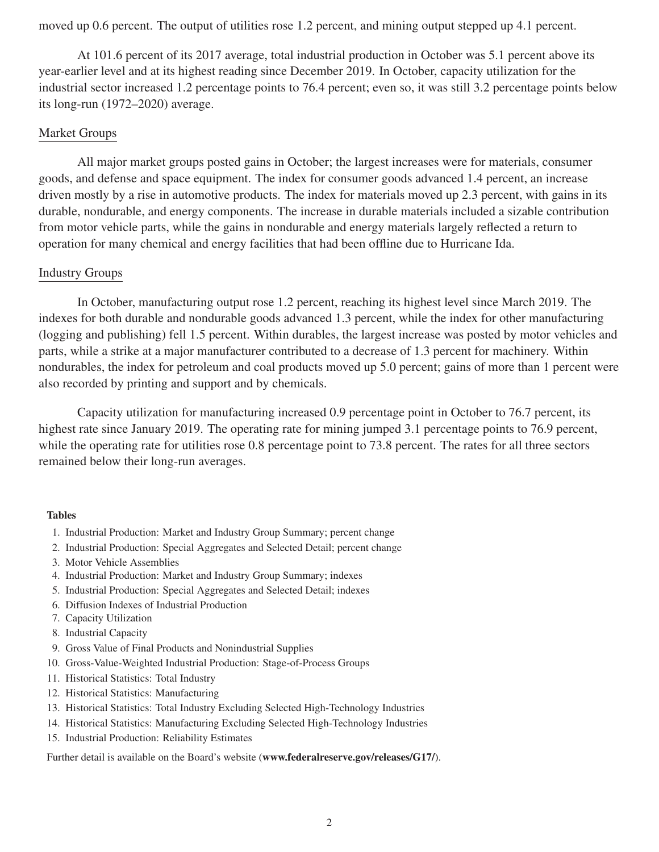moved up 0.6 percent. The output of utilities rose 1.2 percent, and mining output stepped up 4.1 percent.

At 101.6 percent of its 2017 average, total industrial production in October was 5.1 percent above its year-earlier level and at its highest reading since December 2019. In October, capacity utilization for the industrial sector increased 1.2 percentage points to 76.4 percent; even so, it was still 3.2 percentage points below its long-run (1972–2020) average.

## Market Groups

All major market groups posted gains in October; the largest increases were for materials, consumer goods, and defense and space equipment. The index for consumer goods advanced 1.4 percent, an increase driven mostly by a rise in automotive products. The index for materials moved up 2.3 percent, with gains in its durable, nondurable, and energy components. The increase in durable materials included a sizable contribution from motor vehicle parts, while the gains in nondurable and energy materials largely reflected a return to operation for many chemical and energy facilities that had been offline due to Hurricane Ida.

## Industry Groups

In October, manufacturing output rose 1.2 percent, reaching its highest level since March 2019. The indexes for both durable and nondurable goods advanced 1.3 percent, while the index for other manufacturing (logging and publishing) fell 1.5 percent. Within durables, the largest increase was posted by motor vehicles and parts, while a strike at a major manufacturer contributed to a decrease of 1.3 percent for machinery. Within nondurables, the index for petroleum and coal products moved up 5.0 percent; gains of more than 1 percent were also recorded by printing and support and by chemicals.

Capacity utilization for manufacturing increased 0.9 percentage point in October to 76.7 percent, its highest rate since January 2019. The operating rate for mining jumped 3.1 percentage points to 76.9 percent, while the operating rate for utilities rose 0.8 percentage point to 73.8 percent. The rates for all three sectors remained below their long-run averages.

## Tables

- 1. Industrial Production: Market and Industry Group Summary; percent change
- 2. Industrial Production: Special Aggregates and Selected Detail; percent change
- 3. Motor Vehicle Assemblies
- 4. Industrial Production: Market and Industry Group Summary; indexes
- 5. Industrial Production: Special Aggregates and Selected Detail; indexes
- 6. Diffusion Indexes of Industrial Production
- 7. Capacity Utilization
- 8. Industrial Capacity
- 9. Gross Value of Final Products and Nonindustrial Supplies
- 10. Gross-Value-Weighted Industrial Production: Stage-of-Process Groups
- 11. Historical Statistics: Total Industry
- 12. Historical Statistics: Manufacturing
- 13. Historical Statistics: Total Industry Excluding Selected High-Technology Industries
- 14. Historical Statistics: Manufacturing Excluding Selected High-Technology Industries
- 15. Industrial Production: Reliability Estimates

Further detail is available on the Board's website (www.federalreserve.gov/releases/G17/).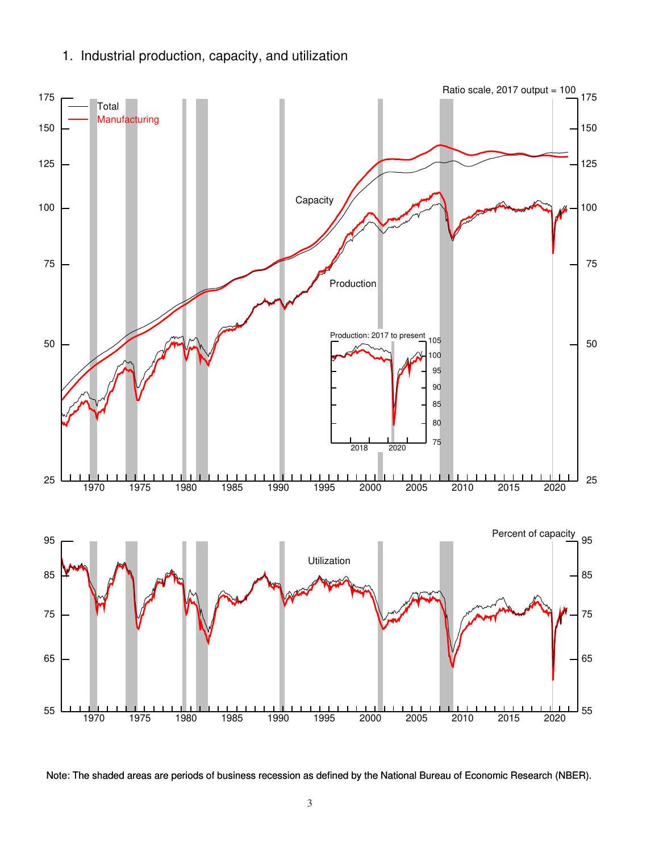1. Industrial production, capacity, and utilization



Note: The shaded areas are periods of business recession as defined by the National Bureau of Economic Research (NBER).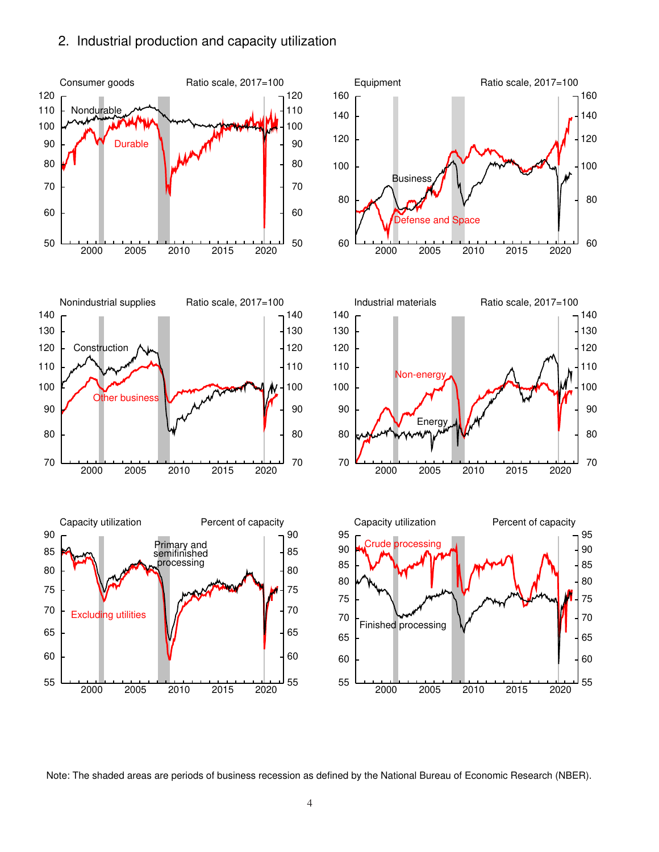# 2. Industrial production and capacity utilization



Note: The shaded areas are periods of business recession as defined by the National Bureau of Economic Research (NBER).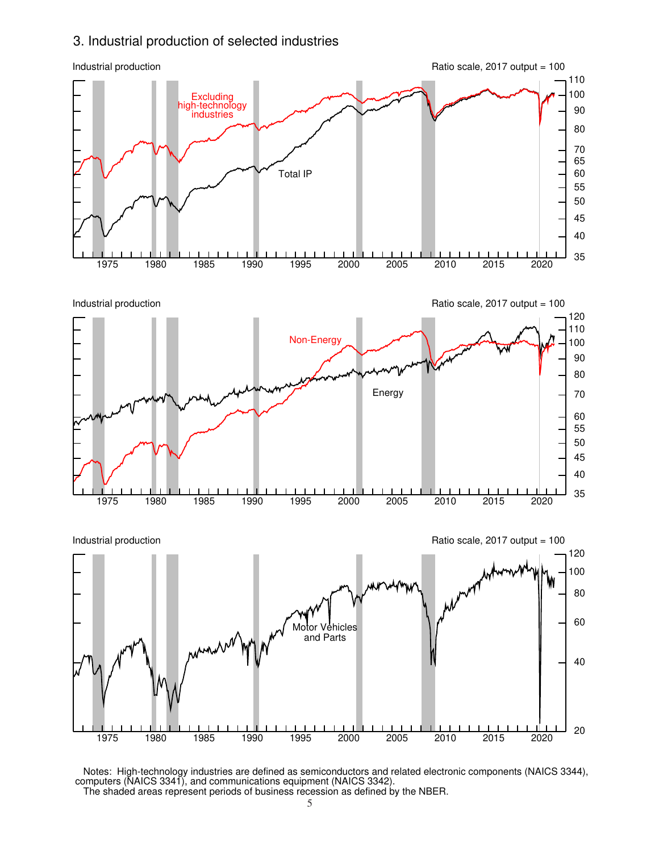# 3. Industrial production of selected industries



 Notes: High-technology industries are defined as semiconductors and related electronic components (NAICS 3344), computers (NAICS 3341), and communications equipment (NAICS 3342). The shaded areas represent periods of business recession as defined by the NBER.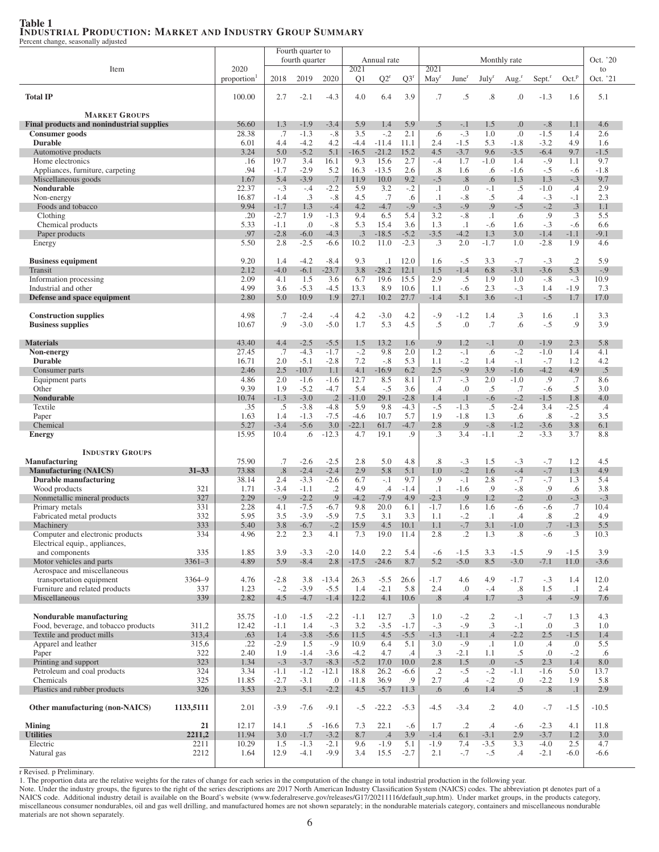### Table 1 INDUSTRIAL PRODUCTION: MARKET AND INDUSTRY GROUP SUMMARY

Percent change, seasonally adjusted

|                                                                  |            |                    |                  | Fourth quarter to |                   |                        |                  |               |                          |                   |                         |                   |                    |                        |                |
|------------------------------------------------------------------|------------|--------------------|------------------|-------------------|-------------------|------------------------|------------------|---------------|--------------------------|-------------------|-------------------------|-------------------|--------------------|------------------------|----------------|
|                                                                  |            |                    |                  | fourth quarter    |                   |                        | Annual rate      |               |                          |                   |                         | Monthly rate      |                    |                        | Oct. '20       |
| Item                                                             |            | 2020<br>proportion | 2018             | 2019              | 2020              | 2021<br>Q <sub>1</sub> | $Q2^r$           | $Q3^r$        | 2021<br>May <sup>r</sup> | June <sup>r</sup> | July <sup>r</sup>       |                   | Sept. <sup>r</sup> | Oct. <sup>p</sup>      | to<br>Oct. '21 |
|                                                                  |            |                    |                  |                   |                   |                        |                  |               |                          |                   |                         | Aug. <sup>r</sup> |                    |                        |                |
| <b>Total IP</b>                                                  |            | 100.00             | 2.7              | $-2.1$            | $-4.3$            | 4.0                    | 6.4              | 3.9           | .7                       | .5                | .8                      | .0                | $-1.3$             | 1.6                    | 5.1            |
|                                                                  |            |                    |                  |                   |                   |                        |                  |               |                          |                   |                         |                   |                    |                        |                |
| <b>MARKET GROUPS</b>                                             |            |                    |                  |                   |                   |                        |                  |               |                          |                   |                         |                   |                    |                        |                |
| Final products and nonindustrial supplies                        |            | 56.60              | 1.3              | $-1.9$            | $-3.4$            | 5.9                    | 1.4              | 5.9           | .5                       | $-.1$             | 1.5                     | $\cdot$           | $-.8$              | 1.1                    | 4.6            |
| Consumer goods<br><b>Durable</b>                                 |            | 28.38<br>6.01      | .7<br>4.4        | $-1.3$<br>$-4.2$  | $-.8$<br>4.2      | 3.5<br>$-4.4$          | $-.2$<br>$-11.4$ | 2.1<br>11.1   | .6<br>2.4                | $-.3$<br>$-1.5$   | 1.0<br>5.3              | .0<br>$-1.8$      | $-1.5$<br>$-3.2$   | 1.4<br>4.9             | 2.6<br>1.6     |
| Automotive products                                              |            | 3.24               | 5.0              | $-5.2$            | 5.1               | $-16.5$                | $-21.2$          | 15.2          | 4.5                      | $-3.7$            | 9.6                     | $-3.5$            | $-6.4$             | 9.7                    | $-1.5$         |
| Home electronics                                                 |            | .16                | 19.7             | 3.4               | 16.1              | 9.3                    | 15.6             | 2.7           | $-.4$                    | 1.7               | $-1.0$                  | 1.4               | $-.9$              | 1.1                    | 9.7            |
| Appliances, furniture, carpeting                                 |            | .94                | $-1.7$           | $-2.9$            | 5.2               | 16.3                   | $-13.5$          | 2.6           | .8                       | 1.6               | .6                      | $-1.6$            | $-.5$              | $-.6$                  | $-1.8$         |
| Miscellaneous goods                                              |            | 1.67               | 5.4              | $-3.9$            | .7                | 11.9                   | 10.0             | 9.2           | $-.5$                    | $.8\,$            | .6                      | 1.3               | 1.3                | $-.3$                  | 9.7            |
| Nondurable                                                       |            | 22.37              | $-.3$            | $-.4$             | $-2.2$            | 5.9                    | 3.2              | $-.2$         | $\cdot$                  | .0                | -. 1                    | .5                | $-1.0$             | .4                     | 2.9            |
| Non-energy                                                       |            | 16.87              | $-1.4$           | $.3\phantom{0}$   | $-.8$             | 4.5                    | .7               | .6            | $\cdot$                  | $-.8$             | .5                      | $\cdot$           | $-.3$              | $-.1$                  | 2.3            |
| Foods and tobacco<br>Clothing                                    |            | 9.94<br>.20        | $-1.7$<br>$-2.7$ | 1.3<br>1.9        | $-.4$<br>$-1.3$   | 4.2<br>9.4             | $-4.7$<br>6.5    | $-.9$<br>5.4  | $-.3$<br>3.2             | $-.9$<br>$-.8$    | .9<br>$\cdot$ 1         | $-.5$<br>.6       | $-.2$<br>.9        | .3<br>.3               | 1.1<br>5.5     |
| Chemical products                                                |            | 5.33               | $-1.1$           | .0                | $-.8$             | 5.3                    | 15.4             | 3.6           | 1.3                      | $\cdot$ 1         | $-0.6$                  | 1.6               | $-.3$              | $-.6$                  | 6.6            |
| Paper products                                                   |            | .97                | $-2.8$           | $-6.0$            | $-4.3$            | .3                     | $-18.5$          | $-5.2$        | $-3.5$                   | $-4.2$            | 1.3                     | 3.0               | $-1.4$             | $-1.1$                 | $-9.1$         |
| Energy                                                           |            | 5.50               | 2.8              | $-2.5$            | $-6.6$            | 10.2                   | 11.0             | $-2.3$        | .3                       | 2.0               | $-1.7$                  | 1.0               | $-2.8$             | 1.9                    | 4.6            |
|                                                                  |            |                    |                  |                   |                   |                        |                  |               |                          |                   |                         |                   |                    |                        |                |
| <b>Business equipment</b>                                        |            | 9.20               | 1.4              | $-4.2$            | $-8.4$            | 9.3                    | $\cdot$ 1        | 12.0          | 1.6                      | $-.5$             | 3.3                     | $-.7$             | $-.3$              | $\cdot$ .2             | 5.9            |
| Transit                                                          |            | 2.12               | $-4.0$           | $-6.1$            | $-23.7$           | 3.8                    | $-28.2$<br>19.6  | 12.1<br>15.5  | 1.5                      | $-1.4$            | 6.8                     | $-3.1$            | $-3.6$             | 5.3                    | $-.9$<br>10.9  |
| Information processing<br>Industrial and other                   |            | 2.09<br>4.99       | 4.1<br>3.6       | 1.5<br>$-5.3$     | 3.6<br>$-4.5$     | 6.7<br>13.3            | 8.9              | 10.6          | 2.9<br>1.1               | .5<br>$-.6$       | 1.9<br>2.3              | 1.0<br>$-.3$      | $-.8$<br>1.4       | $-.3$<br>$-1.9$        | 7.3            |
| Defense and space equipment                                      |            | 2.80               | 5.0              | 10.9              | 1.9               | 27.1                   | 10.2             | 27.7          | $-1.4$                   | 5.1               | 3.6                     | $-.1$             | $-.5$              | 1.7                    | 17.0           |
|                                                                  |            |                    |                  |                   |                   |                        |                  |               |                          |                   |                         |                   |                    |                        |                |
| <b>Construction supplies</b>                                     |            | 4.98               | .7               | $-2.4$            | $-.4$             | 4.2                    | $-3.0$           | 4.2           | -.9                      | $-1.2$            | 1.4                     | $\cdot$ 3         | 1.6                | $\cdot$                | 3.3            |
| <b>Business supplies</b>                                         |            | 10.67              | .9               | $-3.0$            | $-5.0$            | 1.7                    | 5.3              | 4.5           | .5                       | $\cdot$           | .7                      | .6                | $-.5$              | .9                     | 3.9            |
|                                                                  |            |                    |                  |                   |                   |                        |                  |               |                          |                   |                         |                   |                    |                        |                |
| <b>Materials</b><br>Non-energy                                   |            | 43.40<br>27.45     | 4.4<br>.7        | $-2.5$<br>$-4.3$  | $-5.5$<br>$-1.7$  | 1.5<br>$-.2$           | 13.2<br>9.8      | 1.6<br>2.0    | .9<br>1.2                | 1.2<br>$-.1$      | $-.1$<br>.6             | 0.<br>$-.2$       | $-1.9$<br>$-1.0$   | 2.3<br>1.4             | 5.8<br>4.1     |
| <b>Durable</b>                                                   |            | 16.71              | 2.0              | $-5.1$            | $-2.8$            | 7.2                    | $-.8$            | 5.3           | 1.1                      | $-.2$             | 1.4                     | $-.1$             | $-.7$              | 1.2                    | 4.2            |
| Consumer parts                                                   |            | 2.46               | 2.5              | $-10.7$           | 1.1               | 4.1                    | $-16.9$          | 6.2           | 2.5                      | $-.9$             | 3.9                     | $-1.6$            | $-4.2$             | 4.9                    | .5             |
| Equipment parts                                                  |            | 4.86               | 2.0              | $-1.6$            | $-1.6$            | 12.7                   | 8.5              | 8.1           | 1.7                      | $-.3$             | 2.0                     | $-1.0$            | .9                 | .7                     | 8.6            |
| Other                                                            |            | 9.39               | 1.9              | $-5.2$            | $-4.7$            | 5.4                    | $-.5$            | 3.6           | $.4\phantom{0}$          | .0                | .5                      | .7                | $-.6$              | .5                     | 3.0            |
| <b>Nondurable</b>                                                |            | 10.74              | $-1.3$           | $-3.0$            | $\cdot$ .2        | $-11.0$                | 29.1             | $-2.8$        | 1.4                      | $\cdot$ 1         | $-.6$                   | $-.2$             | $-1.5$             | 1.8                    | 4.0            |
| Textile                                                          |            | .35                | .5               | $-3.8$            | $-4.8$            | 5.9                    | 9.8              | $-4.3$        | $-.5$                    | $-1.3$            | .5                      | $-2.4$            | 3.4                | $-2.5$                 | $.4\,$         |
| Paper<br>Chemical                                                |            | 1.63<br>5.27       | 1.4<br>$-3.4$    | $-1.3$<br>$-5.6$  | $-7.5$<br>3.0     | $-4.6$<br>$-22.1$      | 10.7<br>61.7     | 5.7<br>$-4.7$ | 1.9<br>2.8               | $-1.8$<br>.9      | 1.3<br>$-.8$            | .6<br>$-1.2$      | .8<br>$-3.6$       | $-.2$<br>3.8           | 3.5<br>6.1     |
| <b>Energy</b>                                                    |            | 15.95              | 10.4             | .6                | $-12.3$           | 4.7                    | 19.1             | .9            | $\cdot$ 3                | 3.4               | $-1.1$                  | .2                | $-3.3$             | 3.7                    | 8.8            |
|                                                                  |            |                    |                  |                   |                   |                        |                  |               |                          |                   |                         |                   |                    |                        |                |
| <b>INDUSTRY GROUPS</b>                                           |            |                    |                  |                   |                   |                        |                  |               |                          |                   |                         |                   |                    |                        |                |
| <b>Manufacturing</b>                                             |            | 75.90              | .7               | $-2.6$            | $-2.5$            | 2.8                    | 5.0              | 4.8           | .8                       | $-.3$             | 1.5                     | $-.3$             | $-.7$              | 1.2                    | 4.5            |
| <b>Manufacturing (NAICS)</b>                                     | $31 - 33$  | 73.88              | .8               | $-2.4$            | $-2.4$            | 2.9                    | 5.8              | 5.1           | 1.0                      | $-.2$             | 1.6                     | $-.4$             | $-.7$              | 1.3                    | 4.9            |
| Durable manufacturing<br>Wood products                           | 321        | 38.14<br>1.71      | 2.4<br>$-3.4$    | $-3.3$<br>$-1.1$  | $-2.6$<br>$\cdot$ | 6.7<br>4.9             | $-.1$<br>$.4\,$  | 9.7<br>$-1.4$ | .9<br>$\cdot$ 1          | $-.1$<br>$-1.6$   | 2.8<br>.9               | $-.7$<br>$-.8$    | $-.7$<br>.9        | 1.3<br>.6              | 5.4<br>3.8     |
| Nonmetallic mineral products                                     | 327        | 2.29               | $-.9$            | $-2.2$            | .9                | $-4.2$                 | $-7.9$           | 4.9           | $-2.3$                   | .9                | 1.2                     | $\cdot$ .2        | 0.0                | $-.3$                  | $-.3$          |
| Primary metals                                                   | 331        | 2.28               | 4.1              | $-7.5$            | $-6.7$            | 9.8                    | 20.0             | 6.1           | $-1.7$                   | 1.6               | 1.6                     | $-.6$             | $-.6$              | .7                     | 10.4           |
| Fabricated metal products                                        | 332        | 5.95               | 3.5              | $-3.9$            | $-5.9$            | 7.5                    | 3.1              | 3.3           | 1.1                      | $-.2$             | $\cdot$ 1               | $\cdot$           | .8                 | .2                     | 4.9            |
| Machinery                                                        | 333        | 5.40               | 3.8              | $-6.7$            | $-.2$             | 15.9                   | 4.5              | 10.1          | 1.1                      | $-.7$             | 3.1                     | $-1.0$            | .7                 | $-1.3$                 | 5.5            |
| Computer and electronic products                                 | 334        | 4.96               | 2.2              | 2.3               | 4.1               | 7.3                    | 19.0             | 11.4          | 2.8                      | $\cdot$ .2        | 1.3                     | $\cdot^8$         | $-.6$              | $\cdot$ 3              | 10.3           |
| Electrical equip., appliances,<br>and components                 | 335        | 1.85               | 3.9              | $-3.3$            | $-2.0$            | 14.0                   | 2.2              | 5.4           | $-.6$                    | $-1.5$            | 3.3                     | $-1.5$            | .9                 | $-1.5$                 | 3.9            |
| Motor vehicles and parts                                         | $3361 - 3$ | 4.89               | 5.9              | $-8.4$            | 2.8               | $-17.5$                | $-24.6$          | 8.7           | 5.2                      | $-5.0$            | 8.5                     | $-3.0$            | $-7.1$             | 11.0                   | $-3.6$         |
| Aerospace and miscellaneous                                      |            |                    |                  |                   |                   |                        |                  |               |                          |                   |                         |                   |                    |                        |                |
| transportation equipment                                         | 3364-9     | 4.76               | $-2.8$           | 3.8               | $-13.4$           | 26.3                   | $-5.5$           | 26.6          | $-1.7$                   | 4.6               | 4.9                     | $-1.7$            | $-.3$              | 1.4                    | 12.0           |
| Furniture and related products                                   | 337        | 1.23               | $-.2$            | $-3.9$            | $-5.5$            | 1.4                    | $-2.1$           | 5.8           | 2.4                      | 0.                | $-.4$                   | $.8\,$            | 1.5                | $\cdot$ 1              | 2.4            |
| Miscellaneous                                                    | 339        | 2.82               | 4.5              | $-4.7$            | $-1.4$            | 12.2                   | 4.1              | 10.6          | $.8\phantom{0}$          | $.4\phantom{0}$   | 1.7                     | $.3\phantom{0}$   | .4                 | $-.9$                  | 7.6            |
|                                                                  |            |                    |                  |                   |                   |                        |                  |               |                          |                   |                         |                   |                    |                        | 4.3            |
| Nondurable manufacturing<br>Food, beverage, and tobacco products | 311,2      | 35.75<br>12.42     | $-1.0$<br>$-1.1$ | $-1.5$<br>1.4     | $-2.2$<br>$-.3$   | $-1.1$<br>3.2          | 12.7<br>$-3.5$   | .3<br>$-1.7$  | 1.0<br>$-.3$             | $-.2$<br>$-.9$    | $\cdot$ .2<br>$\cdot$ 3 | $-.1$<br>$-.1$    | $-.7$<br>.0        | 1.3<br>$.3\phantom{0}$ | 1.0            |
| Textile and product mills                                        | 313,4      | .63                | 1.4              | $-3.8$            | $-5.6$            | 11.5                   | 4.5              | $-5.5$        | $-1.3$                   | $-1.1$            | .4                      | $-2.2$            | 2.5                | $-1.5$                 | 1.4            |
| Apparel and leather                                              | 315,6      | .22                | $-2.9$           | 1.5               | $-0.9$            | 10.9                   | 6.4              | 5.1           | 3.0                      | $-0.9$            | $\cdot$ 1               | 1.0               | $.4\,$             | .0                     | 5.5            |
| Paper                                                            | 322        | 2.40               | 1.9              | $-1.4$            | $-3.6$            | $-4.2$                 | 4.7              | .4            | $.3\phantom{0}$          | $-2.1$            | 1.1                     | $.5\,$            | .0                 | $-.2$                  | .6             |
| Printing and support                                             | 323        | 1.34               | $-.3$            | $-3.7$            | $-8.3$            | $-5.2$                 | 17.0             | 10.0          | 2.8                      | 1.5               | .0                      | $-.5$             | 2.3                | 1.4                    | 8.0            |
| Petroleum and coal products                                      | 324        | 3.34               | $-1.1$           | $-1.2$            | $-12.1$           | 18.8                   | 26.2             | $-6.6$        | $\cdot$ .2               | $-.5$             | $-.2$                   | $-1.1$            | $-1.6$             | 5.0                    | 13.7           |
| Chemicals<br>Plastics and rubber products                        | 325<br>326 | 11.85<br>3.53      | $-2.7$<br>2.3    | $-3.1$<br>$-5.1$  | .0<br>$-2.2$      | $-11.8$<br>4.5         | 36.9<br>$-5.7$   | .9<br>11.3    | 2.7<br>.6                | $.4\,$<br>.6      | $-.2$<br>1.4            | 0.<br>$.5\,$      | $-2.2$<br>.8       | 1.9<br>$\cdot$ 1       | 5.8<br>2.9     |
|                                                                  |            |                    |                  |                   |                   |                        |                  |               |                          |                   |                         |                   |                    |                        |                |
| Other manufacturing (non-NAICS)                                  | 1133,5111  | 2.01               | $-3.9$           | $-7.6$            | $-9.1$            | $-.5$                  | $-22.2$          | $-5.3$        | $-4.5$                   | $-3.4$            | $\cdot$ .2              | 4.0               | $-.7$              | $-1.5$                 | $-10.5$        |
|                                                                  |            |                    |                  |                   |                   |                        |                  |               |                          |                   |                         |                   |                    |                        |                |
| <b>Mining</b>                                                    | 21         | 12.17              | 14.1             | .5                | $-16.6$           | 7.3                    | 22.1             | $-.6$         | 1.7                      | $\cdot$ .2        | .4                      | $-.6$             | $-2.3$             | 4.1                    | 11.8           |
| <b>Utilities</b>                                                 | 2211,2     | 11.94              | 3.0              | $-1.7$            | $-3.2$            | 8.7                    | .4               | 3.9           | $-1.4$                   | 6.1               | $-3.1$                  | 2.9               | $-3.7$             | 1.2                    | 3.0            |
| Electric                                                         | 2211       | 10.29              | 1.5              | $-1.3$            | $-2.1$            | 9.6                    | $-1.9$           | 5.1           | $-1.9$                   | 7.4               | $-3.5$                  | 3.3               | $-4.0$             | 2.5                    | 4.7            |
| Natural gas                                                      | 2212       | 1.64               | 12.9             | $-4.1$            | $-9.9$            | 3.4                    | 15.5             | $-2.7$        | 2.1                      | $-.7$             | $-.5$                   | $.4\,$            | $-2.1$             | $-6.0$                 | $-6.6$         |

r Revised. p Preliminary.

1. The proportion data are the relative weights for the rates of change for each series in the computation of the change in total industrial production in the following year.

Note. Under the industry groups, the figures to the right of the series descriptions are 2017 North American Industry Classification System (NAICS) codes. The abbreviation pt denotes part of a NAICS code. Additional industry detail is available on the Board's website (www.federalreserve.gov/releases/G17/20211116/default sup.htm). Under market groups, in the products category, miscellaneous consumer nondurables, oil and gas well drilling, and manufactured homes are not shown separately; in the nondurable materials category, containers and miscellaneous nondurable materials are not shown separately.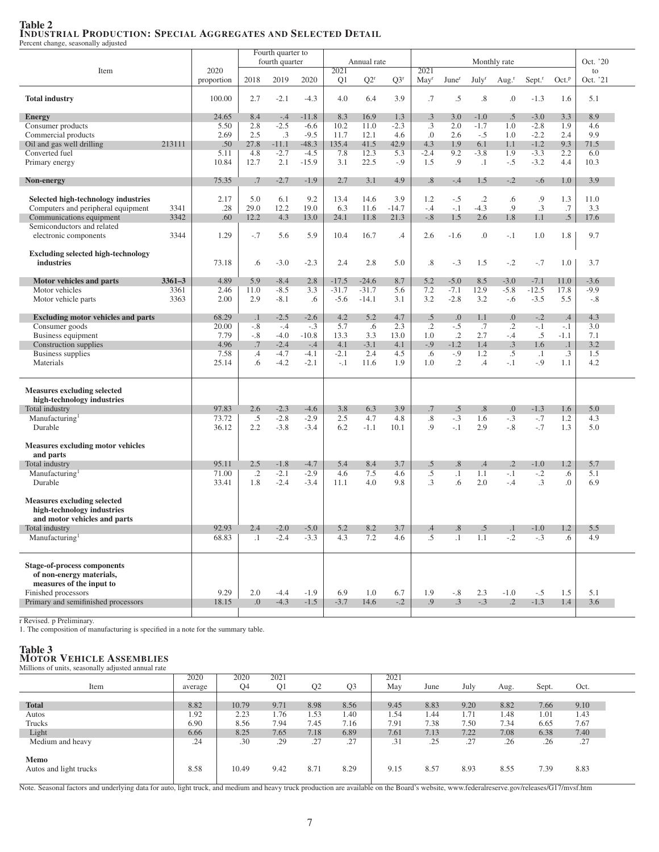# Table 2 INDUSTRIAL PRODUCTION: SPECIAL AGGREGATES AND SELECTED DETAIL

Percent change, seasonally adjusted

|                                           |            |            |           | Fourth quarter to |         |         |             |         |                  |                   |                   |                   |                      |                   |          |  |
|-------------------------------------------|------------|------------|-----------|-------------------|---------|---------|-------------|---------|------------------|-------------------|-------------------|-------------------|----------------------|-------------------|----------|--|
|                                           |            |            |           | fourth quarter    |         |         | Annual rate |         |                  |                   |                   | Monthly rate      |                      |                   | Oct. '20 |  |
| Item                                      |            | 2020       |           |                   |         | 2021    |             |         | 2021             |                   |                   |                   |                      |                   | to       |  |
|                                           |            | proportion | 2018      | 2019              | 2020    | Q1      | $Q2^r$      | $Q3^r$  | May <sup>r</sup> | June <sup>r</sup> | July <sup>r</sup> | Aug. <sup>r</sup> | $Sept.$ <sup>r</sup> | Oct. <sup>p</sup> | Oct. '21 |  |
| <b>Total industry</b>                     |            | 100.00     | 2.7       | $-2.1$            | $-4.3$  | 4.0     | 6.4         | 3.9     | .7               | $.5\,$            | .8                | .0                | $-1.3$               | 1.6               | 5.1      |  |
|                                           |            |            |           |                   |         |         |             |         |                  |                   |                   |                   |                      |                   |          |  |
| <b>Energy</b>                             |            | 24.65      | 8.4       | $-.4$             | $-11.8$ | 8.3     | 16.9        | 1.3     | .3               | 3.0               | $-1.0$            | $.5\,$            | $-3.0$               | 3.3               | 8.9      |  |
| Consumer products                         |            | 5.50       | 2.8       | $-2.5$            | $-6.6$  | 10.2    | 11.0        | $-2.3$  | $\cdot$ 3        | 2.0               | $-1.7$            | 1.0               | $-2.8$               | 1.9               | 4.6      |  |
| Commercial products                       |            | 2.69       | 2.5       | $.3\phantom{0}$   | $-9.5$  | 11.7    | 12.1        | 4.6     | 0.               | 2.6               | $-.5$             | 1.0               | $-2.2$               | 2.4               | 9.9      |  |
| Oil and gas well drilling                 | 213111     | .50        | 27.8      | $-11.1$           | $-48.3$ | 135.4   | 41.5        | 42.9    | 4.3              | 1.9               | 6.1               | 1.1               | $-1.2$               | 9.3               | 71.5     |  |
| Converted fuel                            |            | 5.11       | 4.8       | $-2.7$            | $-4.5$  | 7.8     | 12.3        | 5.3     | $-2.4$           | 9.2               | $-3.8$            | 1.9               | $-3.3$               | 2.2               | 6.0      |  |
| Primary energy                            |            | 10.84      | 12.7      | 2.1               | $-15.9$ | 3.1     | 22.5        | $-0.9$  | 1.5              | .9                | $\cdot$ 1         | $-.5$             | $-3.2$               | 4.4               | 10.3     |  |
|                                           |            |            |           |                   |         |         |             |         |                  |                   |                   |                   |                      |                   |          |  |
| Non-energy                                |            | 75.35      | .7        | $-2.7$            | $-1.9$  | 2.7     | 3.1         | 4.9     | .8               | $-.4$             | 1.5               | $-.2$             | $-.6$                | 1.0               | 3.9      |  |
|                                           |            |            |           |                   |         |         |             |         |                  |                   |                   |                   |                      |                   |          |  |
| Selected high-technology industries       |            | 2.17       | 5.0       | 6.1               | 9.2     | 13.4    | 14.6        | 3.9     | 1.2              | $-.5$             | $\cdot$ .2        | .6                | .9                   | 1.3               | 11.0     |  |
| Computers and peripheral equipment        | 3341       | .28        | 29.0      | 12.2              | 19.0    | 6.3     | 11.6        | $-14.7$ | $-.4$            | $-.1$             | $-4.3$            | .9                | .3                   | .7                | 3.3      |  |
| Communications equipment                  | 3342       | .60        | 12.2      | 4.3               | 13.0    | 24.1    | 11.8        | 21.3    | $-.8$            | 1.5               | 2.6               | 1.8               | 1.1                  | $.5\,$            | 17.6     |  |
| Semiconductors and related                |            |            |           |                   |         |         |             |         |                  |                   |                   |                   |                      |                   |          |  |
| electronic components                     | 3344       | 1.29       | $-.7$     | 5.6               | 5.9     | 10.4    | 16.7        | .4      | 2.6              | $-1.6$            | $\cdot$           | $-.1$             | 1.0                  | 1.8               | 9.7      |  |
|                                           |            |            |           |                   |         |         |             |         |                  |                   |                   |                   |                      |                   |          |  |
| <b>Excluding selected high-technology</b> |            |            |           |                   |         |         |             |         |                  |                   |                   |                   |                      |                   |          |  |
| industries                                |            | 73.18      | .6        | $-3.0$            | $-2.3$  | 2.4     | 2.8         | 5.0     | .8               | $-.3$             | 1.5               | $-.2$             | $-.7$                | 1.0               | 3.7      |  |
|                                           |            |            |           |                   |         |         |             |         |                  |                   |                   |                   |                      |                   |          |  |
| Motor vehicles and parts                  | $3361 - 3$ | 4.89       | 5.9       | $-8.4$            | 2.8     | $-17.5$ | $-24.6$     | 8.7     | 5.2              | $-5.0$            | 8.5               | $-3.0$            | $-7.1$               | 11.0              | $-3.6$   |  |
| Motor vehicles                            | 3361       | 2.46       | 11.0      | $-8.5$            | 3.3     | $-31.7$ | $-31.7$     | 5.6     | 7.2              | $-7.1$            | 12.9              | $-5.8$            | $-12.5$              | 17.8              | $-9.9$   |  |
| Motor vehicle parts                       | 3363       | 2.00       | 2.9       | $-8.1$            | .6      | $-5.6$  | $-14.1$     | 3.1     | 3.2              | $-2.8$            | 3.2               | $-6$              | $-3.5$               | 5.5               | $-.8$    |  |
|                                           |            |            |           |                   |         |         |             |         |                  |                   |                   |                   |                      |                   |          |  |
| <b>Excluding motor vehicles and parts</b> |            | 68.29      | $\cdot$ 1 | $-2.5$            | $-2.6$  | 4.2     | 5.2         | 4.7     | $.5\,$           | .0                | 1.1               | 0.                | $-.2$                | $.4\,$            | 4.3      |  |
| Consumer goods                            |            | 20.00      | $-.8$     | $-.4$             | $-.3$   | 5.7     | .6          | 2.3     | $\cdot$ .2       | $-.5$             | .7                | $\cdot$ .2        | $-.1$                | $-.1$             | 3.0      |  |
| Business equipment                        |            | 7.79       | $-.8$     | $-4.0$            | $-10.8$ | 13.3    | 3.3         | 13.0    | 1.0              | $\cdot$ .2        | 2.7               | $-.4$             | .5                   | $-1.1$            | 7.1      |  |
| Construction supplies                     |            | 4.96       | .7        | $-2.4$            | $-.4$   | 4.1     | $-3.1$      | 4.1     | $-.9$            | $-1.2$            | 1.4               | .3                | 1.6                  | $\cdot$ 1         | 3.2      |  |
| <b>Business supplies</b>                  |            | 7.58       | $.4\,$    | $-4.7$            | $-4.1$  | $-2.1$  | 2.4         | 4.5     | .6               | $-.9$             | 1.2               | $.5\,$            | $\cdot$ 1            | $.3\phantom{0}$   | 1.5      |  |
| Materials                                 |            | 25.14      | .6        | $-4.2$            | $-2.1$  | $-.1$   | 11.6        | 1.9     | 1.0              | $\cdot$           | $\cdot$ 4         | $-.1$             | $-.9$                | 1.1               | 4.2      |  |
|                                           |            |            |           |                   |         |         |             |         |                  |                   |                   |                   |                      |                   |          |  |
|                                           |            |            |           |                   |         |         |             |         |                  |                   |                   |                   |                      |                   |          |  |
| <b>Measures excluding selected</b>        |            |            |           |                   |         |         |             |         |                  |                   |                   |                   |                      |                   |          |  |
| high-technology industries                |            |            |           |                   |         |         |             |         |                  |                   |                   |                   |                      |                   |          |  |
| Total industry                            |            | 97.83      | 2.6       | $-2.3$            | $-4.6$  | 3.8     | 6.3         | 3.9     | .7               | .5                | .8                | 0.                | $-1.3$               | 1.6               | 5.0      |  |
| Manufacturing                             |            | 73.72      | .5        | $-2.8$            | $-2.9$  | 2.5     | 4.7         | 4.8     | .8               | $-.3$             | 1.6               | $-.3$             | $-.7$                | 1.2               | 4.3      |  |
| Durable                                   |            | 36.12      | 2.2       | $-3.8$            | $-3.4$  | 6.2     | $-1.1$      | 10.1    | .9               | $-.1$             | 2.9               | $-.8$             | $-.7$                | 1.3               | 5.0      |  |
|                                           |            |            |           |                   |         |         |             |         |                  |                   |                   |                   |                      |                   |          |  |
| <b>Measures excluding motor vehicles</b>  |            |            |           |                   |         |         |             |         |                  |                   |                   |                   |                      |                   |          |  |
| and parts                                 |            |            |           |                   |         |         |             |         |                  |                   |                   |                   |                      |                   |          |  |
| Total industry                            |            | 95.11      | 2.5       | $-1.8$            | $-4.7$  | 5.4     | 8.4         | 3.7     | $.5\,$           | .8                | .4                | $\cdot$           | $-1.0$               | 1.2               | 5.7      |  |
| Manufacturing                             |            | 71.00      | .2        | $-2.1$            | $-2.9$  | 4.6     | 7.5         | 4.6     | $.5\,$           | $\cdot$ 1         | 1.1               | $-.1$             | $-.2$                | .6                | 5.1      |  |
| Durable                                   |            | 33.41      | 1.8       | $-2.4$            | $-3.4$  | 11.1    | 4.0         | 9.8     | .3               | .6                | 2.0               | $-.4$             | .3                   | .0                | 6.9      |  |
|                                           |            |            |           |                   |         |         |             |         |                  |                   |                   |                   |                      |                   |          |  |
| <b>Measures excluding selected</b>        |            |            |           |                   |         |         |             |         |                  |                   |                   |                   |                      |                   |          |  |
| high-technology industries                |            |            |           |                   |         |         |             |         |                  |                   |                   |                   |                      |                   |          |  |
| and motor vehicles and parts              |            | 92.93      |           |                   |         |         |             |         |                  |                   |                   |                   |                      |                   |          |  |
| Total industry                            |            |            | 2.4       | $-2.0$            | $-5.0$  | 5.2     | 8.2         | 3.7     | .4               | .8                | .5                | $_{\cdot}$        | $-1.0$               | 1.2               | 5.5      |  |
| Manufacturing <sup>1</sup>                |            | 68.83      | $\cdot$ 1 | $-2.4$            | $-3.3$  | 4.3     | 7.2         | 4.6     | $.5\,$           | $\cdot$ 1         | 1.1               | $-.2$             | $-.3$                | .6                | 4.9      |  |
|                                           |            |            |           |                   |         |         |             |         |                  |                   |                   |                   |                      |                   |          |  |
| <b>Stage-of-process components</b>        |            |            |           |                   |         |         |             |         |                  |                   |                   |                   |                      |                   |          |  |
| of non-energy materials,                  |            |            |           |                   |         |         |             |         |                  |                   |                   |                   |                      |                   |          |  |
| measures of the input to                  |            |            |           |                   |         |         |             |         |                  |                   |                   |                   |                      |                   |          |  |
| Finished processors                       |            | 9.29       | 2.0       | $-4.4$            | $-1.9$  | 6.9     | 1.0         | 6.7     | 1.9              | $-.8$             | 2.3               | $-1.0$            | $-.5$                | 1.5               | 5.1      |  |
| Primary and semifinished processors       |            | 18.15      | 0.        | $-4.3$            | $-1.5$  | $-3.7$  | 14.6        | $-.2$   | .9               | $.3\phantom{0}$   | $-.3$             | $\cdot$ .2        | $-1.3$               | 1.4               | 3.6      |  |
|                                           |            |            |           |                   |         |         |             |         |                  |                   |                   |                   |                      |                   |          |  |

r Revised. p Preliminary. 1. The composition of manufacturing is specified in a note for the summary table.

# Table 3 MOTOR VEHICLE ASSEMBLIES Millions of units, seasonally adjusted annual rate

|                        | 2020    | 2020  | 2021           |                |                | 2021 |      |      |      |       |      |
|------------------------|---------|-------|----------------|----------------|----------------|------|------|------|------|-------|------|
| Item                   | average | Q4    | Q <sub>1</sub> | Q <sub>2</sub> | Q <sub>3</sub> | May  | June | July | Aug. | Sept. | Oct. |
|                        |         |       |                |                |                |      |      |      |      |       |      |
| <b>Total</b>           | 8.82    | 10.79 | 9.71           | 8.98           | 8.56           | 9.45 | 8.83 | 9.20 | 8.82 | 7.66  | 9.10 |
| Autos                  | 1.92    | 2.23  | 1.76           | 1.53           | 1.40           | 1.54 | 1.44 | 1.71 | 1.48 | 1.01  | 1.43 |
| Trucks                 | 6.90    | 8.56  | 7.94           | 7.45           | 7.16           | 7.91 | 7.38 | 7.50 | 7.34 | 6.65  | 7.67 |
| Light                  | 6.66    | 8.25  | 7.65           | 7.18           | 6.89           | 7.61 | 7.13 | 7.22 | 7.08 | 6.38  | 7.40 |
| Medium and heavy       | .24     | .30   | .29            | .27            | .27            | .31  | .25  | .27  | .26  | .26   | .27  |
|                        |         |       |                |                |                |      |      |      |      |       |      |
| Memo                   |         |       |                |                |                |      |      |      |      |       |      |
| Autos and light trucks | 8.58    | 10.49 | 9.42           | 8.71           | 8.29           | 9.15 | 8.57 | 8.93 | 8.55 | 7.39  | 8.83 |
|                        |         |       |                |                |                |      |      |      |      |       |      |

Note. Seasonal factors and underlying data for auto, light truck, and medium and heavy truck production are available on the Board's website, www.federalreserve.gov/releases/G17/mvsf.htm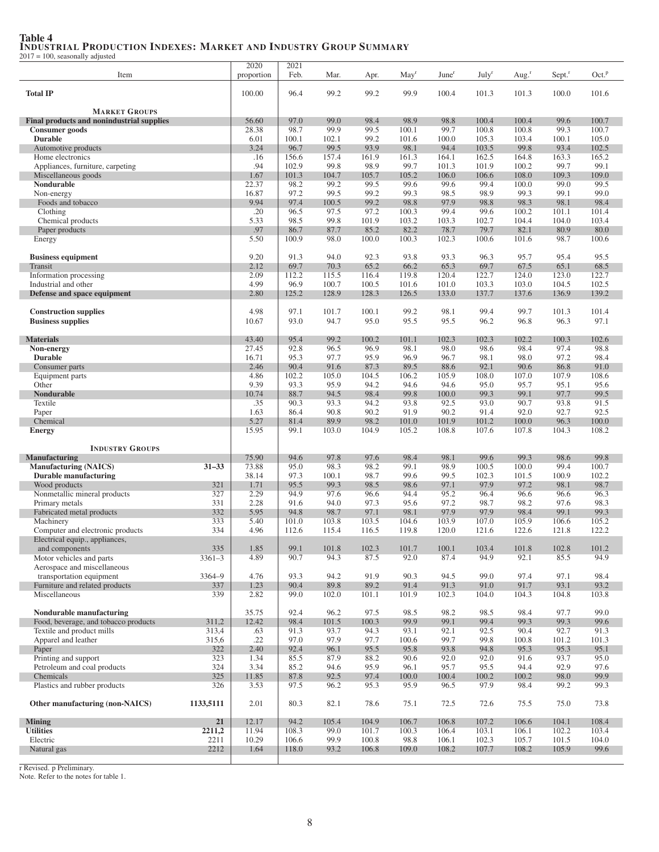# Table 4 INDUSTRIAL PRODUCTION INDEXES: MARKET AND INDUSTRY GROUP SUMMARY 2017 = 100, seasonally adjusted

|                                                  |                | 2020           | 2021           |               |                |                  |                   |                   |                |                    |                   |
|--------------------------------------------------|----------------|----------------|----------------|---------------|----------------|------------------|-------------------|-------------------|----------------|--------------------|-------------------|
| Item                                             |                | proportion     | Feb.           | Mar.          | Apr.           | May <sup>r</sup> | June <sup>r</sup> | July <sup>r</sup> | Aug. $r$       | Sept. <sup>r</sup> | Oct. <sup>p</sup> |
|                                                  |                |                |                |               |                |                  |                   |                   |                |                    |                   |
| <b>Total IP</b>                                  |                | 100.00         | 96.4           | 99.2          | 99.2           | 99.9             | 100.4             | 101.3             | 101.3          | 100.0              | 101.6             |
|                                                  |                |                |                |               |                |                  |                   |                   |                |                    |                   |
| <b>MARKET GROUPS</b>                             |                |                |                |               |                |                  |                   |                   |                |                    |                   |
| <b>Final products and nonindustrial supplies</b> |                | 56.60          | 97.0           | 99.0          | 98.4           | 98.9             | 98.8              | 100.4             | 100.4          | 99.6               | 100.7             |
| Consumer goods                                   |                | 28.38          | 98.7           | 99.9          | 99.5           | 100.1            | 99.7              | 100.8             | 100.8          | 99.3               | 100.7             |
| <b>Durable</b>                                   |                | 6.01           | 100.1          | 102.1         | 99.2           | 101.6            | 100.0             | 105.3             | 103.4          | 100.1              | 105.0             |
| Automotive products                              |                | 3.24           | 96.7           | 99.5          | 93.9           | 98.1             | 94.4              | 103.5             | 99.8           | 93.4               | 102.5             |
| Home electronics                                 |                | .16            | 156.6          | 157.4         | 161.9          | 161.3            | 164.1             | 162.5             | 164.8          | 163.3              | 165.2             |
| Appliances, furniture, carpeting                 |                | .94            | 102.9          | 99.8          | 98.9           | 99.7             | 101.3             | 101.9             | 100.2          | 99.7               | 99.1              |
| Miscellaneous goods                              |                | 1.67           | 101.3          | 104.7         | 105.7          | 105.2            | 106.0             | 106.6             | 108.0          | 109.3              | 109.0             |
| Nondurable                                       |                | 22.37          | 98.2           | 99.2          | 99.5           | 99.6             | 99.6              | 99.4              | 100.0          | 99.0               | 99.5              |
| Non-energy                                       |                | 16.87          | 97.2           | 99.5          | 99.2           | 99.3             | 98.5              | 98.9              | 99.3           | 99.1               | 99.0              |
| Foods and tobacco                                |                | 9.94           | 97.4           | 100.5         | 99.2           | 98.8             | 97.9              | 98.8              | 98.3           | 98.1               | 98.4              |
| Clothing                                         |                | .20            | 96.5           | 97.5          | 97.2           | 100.3            | 99.4              | 99.6              | 100.2          | 101.1              | 101.4             |
| Chemical products                                |                | 5.33           | 98.5           | 99.8          | 101.9          | 103.2            | 103.3             | 102.7             | 104.4          | 104.0              | 103.4             |
| Paper products                                   |                | .97            | 86.7           | 87.7          | 85.2           | 82.2             | 78.7              | 79.7              | 82.1           | 80.9               | 80.0              |
| Energy                                           |                | 5.50           | 100.9          | 98.0          | 100.0          | 100.3            | 102.3             | 100.6             | 101.6          | 98.7               | 100.6             |
|                                                  |                |                |                |               |                |                  |                   |                   |                |                    |                   |
| <b>Business equipment</b>                        |                | 9.20           | 91.3           | 94.0          | 92.3           | 93.8             | 93.3              | 96.3              | 95.7           | 95.4               | 95.5              |
| Transit                                          |                | 2.12           | 69.7           | 70.3          | 65.2           | 66.2             | 65.3              | 69.7              | 67.5           | 65.1               | 68.5              |
| Information processing                           |                | 2.09           | 112.2          | 115.5         | 116.4          | 119.8            | 120.4             | 122.7             | 124.0          | 123.0              | 122.7             |
| Industrial and other                             |                | 4.99           | 96.9           | 100.7         | 100.5          | 101.6            | 101.0             | 103.3             | 103.0          | 104.5              | 102.5             |
| Defense and space equipment                      |                | 2.80           | 125.2          | 128.9         | 128.3          | 126.5            | 133.0             | 137.7             | 137.6          | 136.9              | 139.2             |
|                                                  |                |                |                |               |                |                  |                   |                   |                |                    |                   |
| <b>Construction supplies</b>                     |                | 4.98           | 97.1           | 101.7         | 100.1          | 99.2             | 98.1              | 99.4              | 99.7           | 101.3              | 101.4             |
| <b>Business supplies</b>                         |                | 10.67          | 93.0           | 94.7          | 95.0           | 95.5             | 95.5              | 96.2              | 96.8           | 96.3               | 97.1              |
|                                                  |                |                |                |               |                |                  |                   |                   |                |                    |                   |
| <b>Materials</b>                                 |                | 43.40          | 95.4           | 99.2          | 100.2          | 101.1            | 102.3             | 102.3             | 102.2          | 100.3              | 102.6             |
| Non-energy                                       |                | 27.45          | 92.8           | 96.5          | 96.9           | 98.1             | 98.0              | 98.6              | 98.4           | 97.4               | 98.8              |
| <b>Durable</b>                                   |                | 16.71          | 95.3           | 97.7          | 95.9           | 96.9             | 96.7              | 98.1              | 98.0           | 97.2               | 98.4              |
| Consumer parts                                   |                | 2.46           | 90.4           | 91.6          | 87.3           | 89.5             | 88.6              | 92.1              | 90.6           | 86.8               | 91.0              |
| Equipment parts                                  |                | 4.86<br>9.39   | 102.2          | 105.0<br>95.9 | 104.5          | 106.2            | 105.9             | 108.0             | 107.0          | 107.9              | 108.6             |
| Other<br><b>Nondurable</b>                       |                | 10.74          | 93.3<br>88.7   | 94.5          | 94.2<br>98.4   | 94.6             | 94.6<br>100.0     | 95.0<br>99.3      | 95.7<br>99.1   | 95.1<br>97.7       | 95.6<br>99.5      |
|                                                  |                |                |                |               |                | 99.8             |                   |                   |                |                    |                   |
| Textile<br>Paper                                 |                | .35<br>1.63    | 90.3<br>86.4   | 93.3<br>90.8  | 94.2<br>90.2   | 93.8<br>91.9     | 92.5<br>90.2      | 93.0<br>91.4      | 90.7<br>92.0   | 93.8<br>92.7       | 91.5<br>92.5      |
| Chemical                                         |                | 5.27           | 81.4           | 89.9          | 98.2           | 101.0            | 101.9             | 101.2             | 100.0          | 96.3               | 100.0             |
|                                                  |                | 15.95          | 99.1           | 103.0         | 104.9          | 105.2            | 108.8             | 107.6             | 107.8          | 104.3              | 108.2             |
| <b>Energy</b>                                    |                |                |                |               |                |                  |                   |                   |                |                    |                   |
| <b>INDUSTRY GROUPS</b>                           |                |                |                |               |                |                  |                   |                   |                |                    |                   |
| <b>Manufacturing</b>                             |                | 75.90          | 94.6           | 97.8          | 97.6           | 98.4             | 98.1              | 99.6              | 99.3           | 98.6               | 99.8              |
| <b>Manufacturing (NAICS)</b>                     | $31 - 33$      | 73.88          | 95.0           | 98.3          | 98.2           | 99.1             | 98.9              | 100.5             | 100.0          | 99.4               | 100.7             |
| <b>Durable manufacturing</b>                     |                | 38.14          | 97.3           | 100.1         | 98.7           | 99.6             | 99.5              | 102.3             | 101.5          | 100.9              | 102.2             |
| Wood products                                    | 321            | 1.71           | 95.5           | 99.3          | 98.5           | 98.6             | 97.1              | 97.9              | 97.2           | 98.1               | 98.7              |
| Nonmetallic mineral products                     | 327            | 2.29           | 94.9           | 97.6          | 96.6           | 94.4             | 95.2              | 96.4              | 96.6           | 96.6               | 96.3              |
| Primary metals                                   | 331            | 2.28           | 91.6           | 94.0          | 97.3           | 95.6             | 97.2              | 98.7              | 98.2           | 97.6               | 98.3              |
| Fabricated metal products                        | 332            | 5.95           | 94.8           | 98.7          | 97.1           | 98.1             | 97.9              | 97.9              | 98.4           | 99.1               | 99.3              |
| Machinery                                        | 333            | 5.40           | 101.0          | 103.8         | 103.5          | 104.6            | 103.9             | 107.0             | 105.9          | 106.6              | 105.2             |
| Computer and electronic products                 | 334            | 4.96           | 112.6          | 115.4         | 116.5          | 119.8            | 120.0             | 121.6             | 122.6          | 121.8              | 122.2             |
| Electrical equip., appliances,                   |                |                |                |               |                |                  |                   |                   |                |                    |                   |
| and components                                   | 335            | 1.85           | 99.1           | 101.8         | 102.3          | 101.7            | 100.1             | 103.4             | 101.8          | 102.8              | 101.2             |
| Motor vehicles and parts                         | $3361 - 3$     | 4.89           | 90.7           | 94.3          | 87.5           | 92.0             | 87.4              | 94.9              | 92.1           | 85.5               | 94.9              |
| Aerospace and miscellaneous                      |                |                |                |               |                |                  |                   |                   |                |                    |                   |
| transportation equipment                         | 3364-9         | 4.76           | 93.3           | 94.2          | 91.9           | 90.3             | 94.5              | 99.0              | 97.4           | 97.1               | 98.4              |
| Furniture and related products                   | 337            | 1.23           | 90.4           | 89.8          | 89.2           | 91.4             | 91.3              | 91.0              | 91.7           | 93.1               | 93.2              |
| Miscellaneous                                    | 339            | 2.82           | 99.0           | 102.0         | 101.1          | 101.9            | 102.3             | 104.0             | 104.3          | 104.8              | 103.8             |
|                                                  |                |                |                |               |                |                  |                   |                   |                |                    |                   |
| Nondurable manufacturing                         |                | 35.75          | 92.4           | 96.2          | 97.5           | 98.5             | 98.2              | 98.5              | 98.4           | 97.7               | 99.0              |
| Food, beverage, and tobacco products             | 311,2          | 12.42          | 98.4           | 101.5         | 100.3          | 99.9             | 99.1              | 99.4              | 99.3           | 99.3               | 99.6              |
| Textile and product mills                        | 313,4          | .63            | 91.3           | 93.7          | 94.3           | 93.1             | 92.1              | 92.5              | 90.4           | 92.7               | 91.3              |
| Apparel and leather                              | 315,6          | .22            | 97.0           | 97.9          | 97.7           | 100.6            | 99.7              | 99.8              | 100.8          | 101.2              | 101.3             |
| Paper                                            | 322            | 2.40           | 92.4           | 96.1          | 95.5           | 95.8             | 93.8              | 94.8              | 95.3           | 95.3               | 95.1              |
| Printing and support                             | 323            | 1.34           | 85.5           | 87.9          | 88.2           | 90.6             | 92.0              | 92.0              | 91.6           | 93.7               | 95.0              |
| Petroleum and coal products                      | 324            | 3.34           | 85.2           | 94.6          | 95.9           | 96.1             | 95.7              | 95.5              | 94.4           | 92.9               | 97.6              |
| Chemicals                                        | 325            | 11.85          | 87.8           | 92.5          | 97.4           | 100.0            | 100.4             | 100.2             | 100.2          | 98.0               | 99.9              |
| Plastics and rubber products                     | 326            | 3.53           | 97.5           | 96.2          | 95.3           | 95.9             | 96.5              | 97.9              | 98.4           | 99.2               | 99.3              |
| Other manufacturing (non-NAICS)                  | 1133,5111      | 2.01           | 80.3           | 82.1          | 78.6           | 75.1             | 72.5              | 72.6              | 75.5           | 75.0               | 73.8              |
|                                                  |                |                |                |               |                |                  |                   |                   |                |                    |                   |
| <b>Mining</b><br><b>Utilities</b>                | 21             | 12.17          | 94.2           | 105.4<br>99.0 | 104.9          | 106.7            | 106.8<br>106.4    | 107.2             | 106.6          | 104.1              | 108.4             |
| Electric                                         | 2211,2<br>2211 | 11.94<br>10.29 | 108.3<br>106.6 | 99.9          | 101.7<br>100.8 | 100.3<br>98.8    | 106.1             | 103.1<br>102.3    | 106.1<br>105.7 | 102.2<br>101.5     | 103.4<br>104.0    |
| Natural gas                                      | 2212           | 1.64           | 118.0          | 93.2          | 106.8          | 109.0            | 108.2             | 107.7             | 108.2          | 105.9              | 99.6              |
|                                                  |                |                |                |               |                |                  |                   |                   |                |                    |                   |

r Revised. p Preliminary. Note. Refer to the notes for table 1.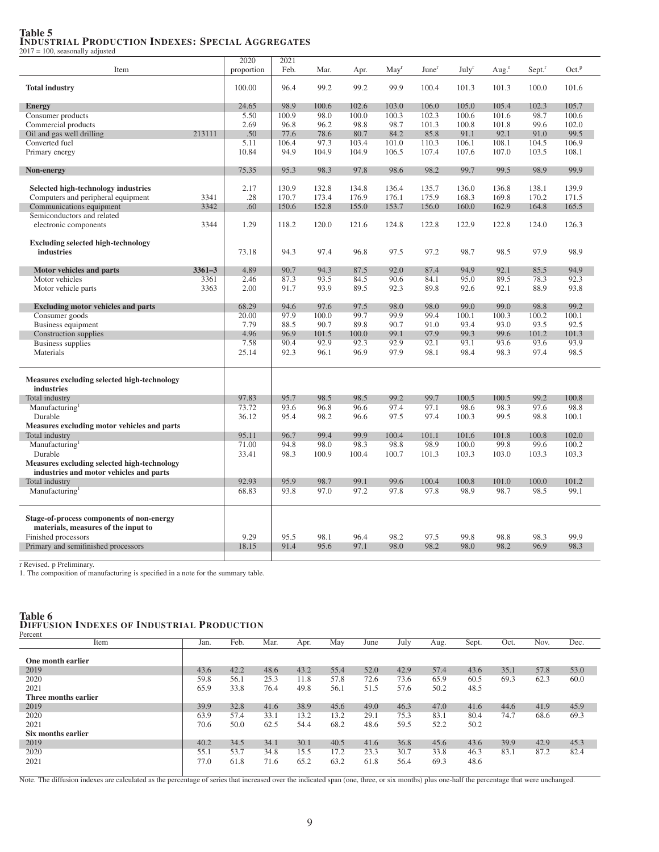#### Table 5 INDUSTRIAL PRODUCTION INDEXES: SPECIAL AGGREGATES 2017 = 100, seasonally adjusted

 $\overline{2020}$   $\overline{2021}$ <br>  $\overline{2021}$ Item proportion Feb. Mar. Apr. May<sup>r</sup> June<sup>r</sup> July<sup>r</sup> Aug.<sup>r</sup> Sept.<sup>r</sup> Oct.<sup>p</sup> **Total industry** 100.00 101.6 101.000 100.00 100.00 100.00 100.00 100.00 101.6 101.3 101.3 101.6 **Energy** 24.65 98.9 100.6 102.6 103.0 106.0 105.0 105.4 102.3 105.7 Consumer products 5.50 100.9 98.0 100.0 100.3 102.3 100.6 101.6 98.7 100.6 Commercial products<br>
2.69 06.8 96.2 98.8 98.7 101.3 100.8 101.8 99.6 102.0<br>
2.1 0.1 99.5 2.1 10.1 99.5 Oil and gas well drilling 213111 .50 77.6 78.6 80.7 84.2 85.8 91.1 92.1 91.0 99.5<br>Converted fuel 5.11 106.4 97.3 103.4 101.0 110.3 106.1 108.1 104.5 106.9 Converted fuel 5.11 106.4 97.3 103.4 101.0 110.3 106.1 108.1 104.5 106.9 Primary energy 10.84 10.84 94.9 104.9 104.9 106.5 107.4 107.6 107.0 103.5 108.1 Non-energy 2001 2002 2003 2004 2005 2006 2016 2017 2018 95.3 98.3 97.8 98.6 98.2 99.7 99.5 98.9 99.9 Selected high-technology industries<br>
Computers and peripheral equipment<br>
2.17 | 130.9 132.8 134.8 136.4 135.7 136.0 136.8 138.1 139.9<br>
2.17 | 130.9 132.8 134.8 136.4 135.7 136.0 136.8 138.1 139.9 Computers and peripheral equipment 3341 .28 170.7 173.4 176.9 176.1 175.9 168.3 169.8 170.2 171.5 Communications equipment Semiconductors and related electronic components 3344 1.29 118.2 120.0 121.6 124.8 122.8 122.9 122.8 124.0 126.3 Excluding selected high-technology **industries** 73.18 95.3 97.4 96.8 97.5 97.2 98.7 98.5 97.9 98.9 Motor vehicles and parts **3361–3** 4.89 90.7 94.3 87.5 92.0 87.4 94.9 92.1 85.5 94.9 Motor vehicles 3361 2.46 87.3 93.5 84.5 90.6 84.1 95.0 89.5 78.3 92.3 Motor vehicle parts **3363** 3363 2.00 91.7 93.9 89.5 92.3 89.8 92.6 92.1 88.9 93.8 Excluding motor vehicles and parts 68.29 94.6 97.6 97.5 98.0 98.0 99.0 99.0 98.8 99.2 Consumer goods 20.00 | 20.00 | 97.9 100.0 99.7 99.9 99.4 100.1 100.3 100.2 100.1 Business equipment 7.79 88.5 90.7 89.8 90.7 91.0 93.4 93.0 93.5 92.5 Construction supplies **1.96** 96.9 101.5 100.0 99.1 97.9 99.3 99.6 101.2 101.3<br>
Business supplies 7.58 90.4 92.9 92.3 92.9 92.1 93.1 93.6 93.6 93.9 Business supplies<br>
Materials 1.58 90.4 92.9 92.3 92.9 92.1 93.1 93.6 93.9<br>
Materials 98.3 97.4 98.5 Materials 25.14 92.3 96.1 96.9 97.9 98.1 98.4 98.3 97.4 98.5 Measures excluding selected high-technology industries<br>Total industry Total industry 197.83 97.83 95.7 98.5 98.5 99.2 99.7 100.5 100.5 99.2 100.8 Manufacturing<br>Durable 73.72 93.6 96.8 96.6 97.4 97.1 98.6 98.3 97.6 98.8 Durable 36.12 95.4 98.2 96.6 97.5 97.4 100.3 99.5 98.8 100.1 Measures excluding motor vehicles and parts Total industry 95.11 96.7 99.4 99.9 100.4 101.1 101.6 101.8 100.8 102.0 Manufacturing<br>Durable 71.00 94.8 98.0 98.3 98.8 98.9 100.0 99.8 99.6 100.2 Durable 33.41 98.3 100.9 100.4 100.7 101.3 103.3 103.0 103.3 103.3 Measures excluding selected high-technology industries and motor vehicles and parts Total industry 92.93 95.9 98.7 99.1 99.6 100.4 100.8 101.0 100.0 101.2 Manufacturing<sup>1</sup> 68.83 93.8 97.0 97.2 97.8 97.8 98.9 98.7 98.5 99.1 Stage-of-process components of non-energy materials, measures of the input to Finished processors<br>
Primary and semifinished processors<br>
18.15 91.4 95.6 97.1 98.0 98.2 98.0 98.2 96.9 98.3 Primary and semifinished processors 18.15 91.4

r Revised. p Preliminary.

1. The composition of manufacturing is specified in a note for the summary table.

#### Table 6 DIFFUSION INDEXES OF INDUSTRIAL PRODUCTION

| Percent              |      |      |      |      |      |      |      |      |       |      |      |      |
|----------------------|------|------|------|------|------|------|------|------|-------|------|------|------|
| Item                 | Jan  | Feb. | Mar. | Apr. | May  | June | July | Aug. | Sept. | Oct. | Nov. | Dec. |
|                      |      |      |      |      |      |      |      |      |       |      |      |      |
| One month earlier    |      |      |      |      |      |      |      |      |       |      |      |      |
| 2019                 | 43.6 | 42.2 | 48.6 | 43.2 | 55.4 | 52.0 | 42.9 | 57.4 | 43.6  | 35.1 | 57.8 | 53.0 |
| 2020                 | 59.8 | 56.1 | 25.3 | 11.8 | 57.8 | 72.6 | 73.6 | 65.9 | 60.5  | 69.3 | 62.3 | 60.0 |
| 2021                 | 65.9 | 33.8 | 76.4 | 49.8 | 56.1 | 51.5 | 57.6 | 50.2 | 48.5  |      |      |      |
| Three months earlier |      |      |      |      |      |      |      |      |       |      |      |      |
| 2019                 | 39.9 | 32.8 | 41.6 | 38.9 | 45.6 | 49.0 | 46.3 | 47.0 | 41.6  | 44.6 | 41.9 | 45.9 |
| 2020                 | 63.9 | 57.4 | 33.1 | 13.2 | 13.2 | 29.1 | 75.3 | 83.1 | 80.4  | 74.7 | 68.6 | 69.3 |
| 2021                 | 70.6 | 50.0 | 62.5 | 54.4 | 68.2 | 48.6 | 59.5 | 52.2 | 50.2  |      |      |      |
| Six months earlier   |      |      |      |      |      |      |      |      |       |      |      |      |
| 2019                 | 40.2 | 34.5 | 34.1 | 30.1 | 40.5 | 41.6 | 36.8 | 45.6 | 43.6  | 39.9 | 42.9 | 45.3 |
| 2020                 | 55.1 | 53.7 | 34.8 | 15.5 | 17.2 | 23.3 | 30.7 | 33.8 | 46.3  | 83.1 | 87.2 | 82.4 |
| 2021                 | 77.0 | 61.8 | 71.6 | 65.2 | 63.2 | 61.8 | 56.4 | 69.3 | 48.6  |      |      |      |

Note. The diffusion indexes are calculated as the percentage of series that increased over the indicated span (one, three, or six months) plus one-half the percentage that were unchanged.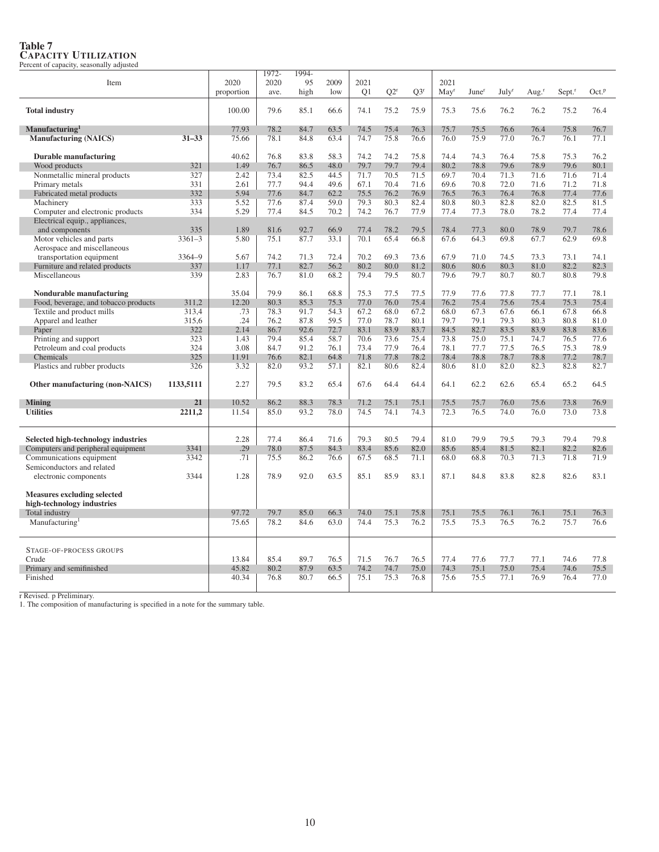| Item                                                                      |            | 2020<br>proportion | 1972-<br>2020<br>ave. | 1994-<br>95<br>high | 2009<br>low  | 2021<br>Q1   | $O2^r$       | $O3^r$       | 2021<br>$\text{May}^r$ | June <sup>r</sup> | July <sup>r</sup> | Aug. $^{\rm r}$ | Sept. <sup>r</sup> | Oct. <sup>p</sup> |
|---------------------------------------------------------------------------|------------|--------------------|-----------------------|---------------------|--------------|--------------|--------------|--------------|------------------------|-------------------|-------------------|-----------------|--------------------|-------------------|
|                                                                           |            |                    |                       |                     |              |              |              |              |                        |                   |                   |                 |                    |                   |
| <b>Total industry</b>                                                     |            | 100.00             | 79.6                  | 85.1                | 66.6         | 74.1         | 75.2         | 75.9         | 75.3                   | 75.6              | 76.2              | 76.2            | 75.2               | 76.4              |
| Manufacturing <sup>1</sup>                                                |            | 77.93              | 78.2                  | 84.7                | 63.5         | 74.5         | 75.4         | 76.3         | 75.7                   | 75.5              | 76.6              | 76.4            | 75.8               | 76.7              |
| <b>Manufacturing (NAICS)</b>                                              | $31 - 33$  | 75.66              | 78.1                  | 84.8                | 63.4         | 74.7         | 75.8         | 76.6         | 76.0                   | 75.9              | 77.0              | 76.7            | 76.1               | 77.1              |
| Durable manufacturing                                                     |            | 40.62              | 76.8                  | 83.8                | 58.3         | 74.2         | 74.2         | 75.8         | 74.4                   | 74.3              | 76.4              | 75.8            | 75.3               | 76.2              |
| Wood products                                                             | 321        | 1.49               | 76.7                  | 86.5                | 48.0         | 79.7         | 79.7         | 79.4         | 80.2                   | 78.8              | 79.6              | 78.9            | 79.6               | 80.1              |
| Nonmetallic mineral products                                              | 327        | 2.42               | 73.4                  | 82.5                | 44.5         | 71.7         | 70.5         | 71.5         | 69.7                   | 70.4              | 71.3              | 71.6            | 71.6               | 71.4              |
| Primary metals                                                            | 331        | 2.61               | 77.7                  | 94.4                | 49.6         | 67.1         | 70.4         | 71.6         | 69.6                   | 70.8              | 72.0              | 71.6            | 71.2               | 71.8              |
| Fabricated metal products                                                 | 332        | 5.94               | 77.6                  | 84.7                | 62.2         | 75.5         | 76.2         | 76.9         | 76.5                   | 76.3              | 76.4              | 76.8            | 77.4               | 77.6              |
| Machinery                                                                 | 333        | 5.52               | 77.6                  | 87.4                | 59.0         | 79.3         | 80.3         | 82.4         | 80.8                   | 80.3              | 82.8              | 82.0            | 82.5               | 81.5              |
| Computer and electronic products                                          | 334        | 5.29               | 77.4                  | 84.5                | 70.2         | 74.2         | 76.7         | 77.9         | 77.4                   | 77.3              | 78.0              | 78.2            | 77.4               | 77.4              |
| Electrical equip., appliances,                                            |            |                    |                       |                     |              |              |              |              |                        |                   |                   |                 |                    |                   |
| and components                                                            | 335        | 1.89               | 81.6                  | 92.7                | 66.9         | 77.4         | 78.2         | 79.5         | 78.4                   | 77.3              | 80.0              | 78.9            | 79.7               | 78.6              |
| Motor vehicles and parts                                                  | $3361 - 3$ | 5.80               | 75.1                  | 87.7                | 33.1         | 70.1         | 65.4         | 66.8         | 67.6                   | 64.3              | 69.8              | 67.7            | 62.9               | 69.8              |
| Aerospace and miscellaneous                                               |            |                    |                       |                     |              |              |              |              |                        |                   |                   |                 |                    |                   |
| transportation equipment                                                  | 3364-9     | 5.67               | 74.2                  | 71.3                | 72.4         | 70.2         | 69.3         | 73.6         | 67.9                   | 71.0              | 74.5              | 73.3            | 73.1               | 74.1              |
| Furniture and related products                                            | 337        | 1.17               | 77.1                  | 82.7                | 56.2         | 80.2         | 80.0         | 81.2         | 80.6                   | 80.6              | 80.3              | 81.0            | 82.2               | 82.3              |
| Miscellaneous                                                             | 339        | 2.83               | 76.7                  | 81.0                | 68.2         | 79.4         | 79.5         | 80.7         | 79.6                   | 79.7              | 80.7              | 80.7            | 80.8               | 79.8              |
| Nondurable manufacturing                                                  |            | 35.04              | 79.9                  | 86.1                | 68.8         | 75.3         | 77.5         | 77.5         | 77.9                   | 77.6              | 77.8              | 77.7            | 77.1               | 78.1              |
| Food, beverage, and tobacco products                                      | 311,2      | 12.20              | 80.3                  | 85.3                | 75.3         | 77.0         | 76.0         | 75.4         | 76.2                   | 75.4              | 75.6              | 75.4            | 75.3               | 75.4              |
| Textile and product mills                                                 | 313,4      | .73                | 78.3                  | 91.7                | 54.3         | 67.2         | 68.0         | 67.2         | 68.0                   | 67.3              | 67.6              | 66.1            | 67.8               | 66.8              |
| Apparel and leather                                                       | 315,6      | .24                | 76.2                  | 87.8                | 59.5         | 77.0         | 78.7         | 80.1         | 79.7                   | 79.1              | 79.3              | 80.3            | 80.8               | 81.0              |
| Paper                                                                     | 322        | 2.14               | 86.7                  | 92.6                | 72.7         | 83.1         | 83.9         | 83.7         | 84.5                   | 82.7              | 83.5              | 83.9            | 83.8               | 83.6              |
| Printing and support                                                      | 323        | 1.43               | 79.4                  | 85.4                | 58.7         | 70.6         | 73.6         | 75.4         | 73.8                   | 75.0              | 75.1              | 74.7            | 76.5               | 77.6              |
| Petroleum and coal products                                               | 324        | 3.08               | 84.7                  | 91.2                | 76.1         | 73.4         | 77.9         | 76.4         | 78.1                   | 77.7              | 77.5              | 76.5            | 75.3               | 78.9              |
| Chemicals                                                                 | 325        | 11.91              | 76.6                  | 82.1                | 64.8         | 71.8         | 77.8         | 78.2         | 78.4                   | 78.8              | 78.7              | 78.8            | 77.2               | 78.7              |
| Plastics and rubber products                                              | 326        | 3.32               | 82.0                  | 93.2                | 57.1         | 82.1         | 80.6         | 82.4         | 80.6                   | 81.0              | 82.0              | 82.3            | 82.8               | 82.7              |
| Other manufacturing (non-NAICS)                                           | 1133,5111  | 2.27               | 79.5                  | 83.2                | 65.4         | 67.6         | 64.4         | 64.4         | 64.1                   | 62.2              | 62.6              | 65.4            | 65.2               | 64.5              |
| <b>Mining</b>                                                             | 21         | 10.52              | 86.2                  | 88.3                | 78.3         | 71.2         | 75.1         | 75.1         | 75.5                   | 75.7              | 76.0              | 75.6            | 73.8               | 76.9              |
| <b>Utilities</b>                                                          | 2211,2     | 11.54              | 85.0                  | 93.2                | 78.0         | 74.5         | 74.1         | 74.3         | 72.3                   | 76.5              | 74.0              | 76.0            | 73.0               | 73.8              |
|                                                                           |            |                    |                       |                     |              |              |              |              |                        |                   |                   |                 |                    |                   |
| Selected high-technology industries<br>Computers and peripheral equipment | 3341       | 2.28<br>.29        | 77.4<br>78.0          | 86.4<br>87.5        | 71.6<br>84.3 | 79.3<br>83.4 | 80.5<br>85.6 | 79.4<br>82.0 | 81.0<br>85.6           | 79.9<br>85.4      | 79.5<br>81.5      | 79.3<br>82.1    | 79.4<br>82.2       | 79.8<br>82.6      |
| Communications equipment                                                  | 3342       | .71                | 75.5                  | 86.2                | 76.6         | 67.5         | 68.5         | 71.1         | 68.0                   | 68.8              | 70.3              | 71.3            | 71.8               | 71.9              |
| Semiconductors and related                                                |            |                    |                       |                     |              |              |              |              |                        |                   |                   |                 |                    |                   |
| electronic components                                                     | 3344       | 1.28               | 78.9                  | 92.0                | 63.5         | 85.1         | 85.9         | 83.1         | 87.1                   | 84.8              | 83.8              | 82.8            | 82.6               | 83.1              |
| <b>Measures excluding selected</b>                                        |            |                    |                       |                     |              |              |              |              |                        |                   |                   |                 |                    |                   |
| high-technology industries                                                |            |                    | 79.7                  |                     |              |              |              |              |                        |                   |                   |                 |                    |                   |
| Total industry                                                            |            | 97.72              |                       | 85.0                | 66.3         | 74.0         | 75.1         | 75.8         | 75.1                   | 75.5              | 76.1              | 76.1            | 75.1               | 76.3              |
| Manufacturing <sup>1</sup>                                                |            | 75.65              | 78.2                  | 84.6                | 63.0         | 74.4         | 75.3         | 76.2         | 75.5                   | 75.3              | 76.5              | 76.2            | 75.7               | 76.6              |
| STAGE-OF-PROCESS GROUPS                                                   |            |                    |                       |                     |              |              |              |              |                        |                   |                   |                 |                    |                   |
| Crude                                                                     |            | 13.84              | 85.4                  | 89.7                | 76.5         | 71.5         | 76.7         | 76.5         | 77.4                   | 77.6              | 77.7              | 77.1            | 74.6               | 77.8              |
| Primary and semifinished                                                  |            | 45.82              | 80.2                  | 87.9                | 63.5         | 74.2         | 74.7         | 75.0         | 74.3                   | 75.1              | 75.0              | 75.4            | 74.6               | 75.5              |
| Finished                                                                  |            | 40.34              | 76.8                  | 80.7                | 66.5         | 75.1         | 75.3         | 76.8         | 75.6                   | 75.5              | 77.1              | 76.9            | 76.4               | 77.0              |
|                                                                           |            |                    |                       |                     |              |              |              |              |                        |                   |                   |                 |                    |                   |

# Table 7 CAPACITY UTILIZATION Percent of capacity, seasonally adjusted

r Revised. p Preliminary. 1. The composition of manufacturing is specified in a note for the summary table.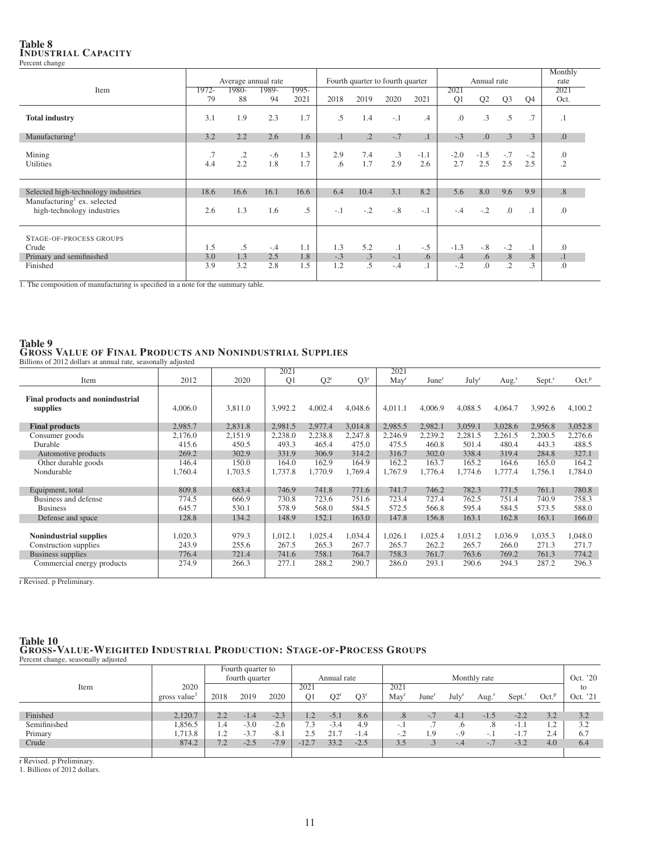## Table 8 INDUSTRIAL CAPACITY Percent change

|                                                                       |           |                     |              |            |           |            |                                  |               |               |                |                 |                 | Monthly          |
|-----------------------------------------------------------------------|-----------|---------------------|--------------|------------|-----------|------------|----------------------------------|---------------|---------------|----------------|-----------------|-----------------|------------------|
|                                                                       |           | Average annual rate |              |            |           |            | Fourth quarter to fourth quarter |               |               | Annual rate    |                 |                 | rate             |
| Item                                                                  | 1972-     | 1980-               | 1989-        | $1995-$    |           |            |                                  |               | 2021          |                |                 |                 | 2021             |
|                                                                       | 79        | 88                  | 94           | 2021       | 2018      | 2019       | 2020                             | 2021          | Q1            | Q <sub>2</sub> | Q <sub>3</sub>  | Q <sub>4</sub>  | Oct.             |
| <b>Total industry</b>                                                 | 3.1       | 1.9                 | 2.3          | 1.7        | .5        | 1.4        | $-.1$                            | .4            | $\Omega$ .    | $\cdot$ 3      | $.5\phantom{0}$ | .7              | $\cdot$ 1        |
| Manufacturing <sup>1</sup>                                            | 3.2       | 2.2                 | 2.6          | 1.6        | $\cdot$ 1 | $\cdot$ 2  | $-.7$                            | $\cdot$ 1     | $-.3$         | 0.             | .3              | $.3\phantom{0}$ | .0               |
| Mining<br><b>Utilities</b>                                            | .7<br>4.4 | $\cdot$ .2<br>2.2   | $-.6$<br>1.8 | 1.3<br>1.7 | 2.9<br>.6 | 7.4<br>1.7 | .3<br>2.9                        | $-1.1$<br>2.6 | $-2.0$<br>2.7 | $-1.5$<br>2.5  | $-.7$<br>2.5    | $-.2$<br>2.5    | .0<br>$\cdot$ .2 |
| Selected high-technology industries                                   | 18.6      | 16.6                | 16.1         | 16.6       | 6.4       | 10.4       | 3.1                              | 8.2           | 5.6           | 8.0            | 9.6             | 9.9             | .8               |
| Manufacturing <sup>1</sup> ex. selected<br>high-technology industries | 2.6       | 1.3                 | 1.6          | .5         | $-.1$     | $-.2$      | $-.8$                            | $-.1$         | $-.4$         | $-.2$          | .0              | $\cdot$ 1       | .0               |
| STAGE-OF-PROCESS GROUPS                                               |           |                     |              |            |           |            |                                  |               |               |                |                 |                 |                  |
| Crude                                                                 | 1.5       | $.5\,$              | $-.4$        | 1.1        | 1.3       | 5.2        | $\cdot$ 1                        | $-.5$         | $-1.3$        | $-.8$          | $-.2$           | $\cdot$ 1       | .0               |
| Primary and semifinished                                              | 3.0       | 1.3                 | 2.5          | 1.8        | $-.3$     | .3         | $-.1$                            | .6            | .4            | $.6\,$         | .8              | .8              | $\cdot$          |
| Finished                                                              | 3.9       | 3.2                 | 2.8          | 1.5        | 1.2       | .5         | $-.4$                            | $\cdot$ 1     | $-.2$         | .0             | $\cdot$         | $\cdot$ 3       | .0               |

1. The composition of manufacturing is specified in a note for the summary table.

## Table 9 GROSS VALUE OF FINAL PRODUCTS AND NONINDUSTRIAL SUPPLIES Billions of 2012 dollars at annual rate, seasonally adjusted

|                                              |         |         | 2021    |         |         | 2021           |                   |                   |                  |                      |                   |
|----------------------------------------------|---------|---------|---------|---------|---------|----------------|-------------------|-------------------|------------------|----------------------|-------------------|
| Item                                         | 2012    | 2020    | Q1      | $Q2^r$  | $Q3^r$  | $\text{May}^r$ | June <sup>r</sup> | July <sup>r</sup> | Aug <sup>r</sup> | $Sept.$ <sup>r</sup> | Oct. <sup>p</sup> |
| Final products and nonindustrial<br>supplies | 4,006.0 | 3,811.0 | 3,992.2 | 4,002.4 | 4,048.6 | 4,011.1        | 4,006.9           | 4,088.5           | 4,064.7          | 3,992.6              | 4,100.2           |
| <b>Final products</b>                        | 2,985.7 | 2,831.8 | 2,981.5 | 2,977.4 | 3,014.8 | 2,985.5        | 2,982.1           | 3,059.1           | 3,028.6          | 2,956.8              | 3,052.8           |
| Consumer goods                               | 2,176.0 | 2,151.9 | 2,238.0 | 2,238.8 | 2,247.8 | 2,246.9        | 2,239.2           | 2,281.5           | 2,261.5          | 2,200.5              | 2,276.6           |
| Durable                                      | 415.6   | 450.5   | 493.3   | 465.4   | 475.0   | 475.5          | 460.8             | 501.4             | 480.4            | 443.3                | 488.5             |
| Automotive products                          | 269.2   | 302.9   | 331.9   | 306.9   | 314.2   | 316.7          | 302.0             | 338.4             | 319.4            | 284.8                | 327.1             |
| Other durable goods                          | 146.4   | 150.0   | 164.0   | 162.9   | 164.9   | 162.2          | 163.7             | 165.2             | 164.6            | 165.0                | 164.2             |
| Nondurable                                   | 1,760.4 | 1,703.5 | 1,737.8 | 1,770.9 | 1,769.4 | 1.767.9        | 1,776.4           | 1.774.6           | 1,777.4          | 1,756.1              | 1,784.0           |
|                                              |         |         |         |         |         |                |                   |                   |                  |                      |                   |
| Equipment, total                             | 809.8   | 683.4   | 746.9   | 741.8   | 771.6   | 741.7          | 746.2             | 782.3             | 771.5            | 761.1                | 780.8             |
| Business and defense                         | 774.5   | 666.9   | 730.8   | 723.6   | 751.6   | 723.4          | 727.4             | 762.5             | 751.4            | 740.9                | 758.3             |
| <b>Business</b>                              | 645.7   | 530.1   | 578.9   | 568.0   | 584.5   | 572.5          | 566.8             | 595.4             | 584.5            | 573.5                | 588.0             |
| Defense and space                            | 128.8   | 134.2   | 148.9   | 152.1   | 163.0   | 147.8          | 156.8             | 163.1             | 162.8            | 163.1                | 166.0             |
|                                              |         |         |         |         |         |                |                   |                   |                  |                      |                   |
| <b>Nonindustrial supplies</b>                | 1,020.3 | 979.3   | 1,012.1 | 1,025.4 | 1,034.4 | 1,026.1        | 1,025.4           | 1,031.2           | 1,036.9          | 1,035.3              | 1,048.0           |
| Construction supplies                        | 243.9   | 255.6   | 267.5   | 265.3   | 267.7   | 265.7          | 262.2             | 265.7             | 266.0            | 271.3                | 271.7             |
| Business supplies                            | 776.4   | 721.4   | 741.6   | 758.1   | 764.7   | 758.3          | 761.7             | 763.6             | 769.2            | 761.3                | 774.2             |
| Commercial energy products                   | 274.9   | 266.3   | 277.1   | 288.2   | 290.7   | 286.0          | 293.1             | 290.6             | 294.3            | 287.2                | 296.3             |
|                                              |         |         |         |         |         |                |                   |                   |                  |                      |                   |

r Revised. p Preliminary.

# Table 10 GROSS-VALUE-WEIGHTED INDUSTRIAL PRODUCTION: STAGE-OF-PROCESS GROUPS Percent change, seasonally adjusted

|              |             |      | Fourth quarter to     |        |                |             |             |                          |                   |                   |              |                        |                   |          |
|--------------|-------------|------|-----------------------|--------|----------------|-------------|-------------|--------------------------|-------------------|-------------------|--------------|------------------------|-------------------|----------|
|              |             |      | fourth quarter        |        |                | Annual rate |             |                          |                   |                   | Monthly rate |                        |                   | Oct. '20 |
| Item         | 2020        |      |                       |        | 2021           |             |             | 2021                     |                   |                   |              |                        |                   | to       |
|              | gross value | 2018 | 2019                  | 2020   | O <sub>1</sub> | $O2^r$      | $O3^r$      | May                      | June <sup>1</sup> | July <sup>r</sup> | Aug.'        | Sept.                  | Oct. <sup>p</sup> | Oct. '21 |
|              |             |      |                       |        |                |             |             |                          |                   |                   |              |                        |                   |          |
| Finished     | 2.120.7     | 2.2  | 1.4<br>- 1            | $-2.3$ | 1.2            | $-5.$       | 8.6         | $.8\phantom{0}$          | $\sim$            | 4.1               | $-1.5$       | $-2.2$                 | 3.2               | 3.2      |
| Semifinished | .856.5      | 1.4  | $-3.0$                | $-2.6$ | 1.3            | $-3.4$      | 4.9         | $-11$                    |                   | .6                | .8           | -1.1                   | 1.2               | 3.2      |
| Primary      | 1.713.8     | 1.2  | $\sim$ $\sim$<br>$-5$ | $-8.1$ |                | 21.7        | $-1$<br>1.4 | $\overline{\phantom{0}}$ | 1.9               | $-.9$             | $-11$        | $\overline{ }$<br>-1.7 | 2.4               | 6.7      |
| Crude        | 874.2       | 7.2  | $-2.5$                | $-7.9$ | 12.7           | 33.2        | $-2.5$      | 35<br>ن د                |                   | -.4               | $-.7$        | $-3.2$                 | 4.0               | 6.4      |
|              |             |      |                       |        |                |             |             |                          |                   |                   |              |                        |                   |          |

r Revised. p Preliminary.

1. Billions of 2012 dollars.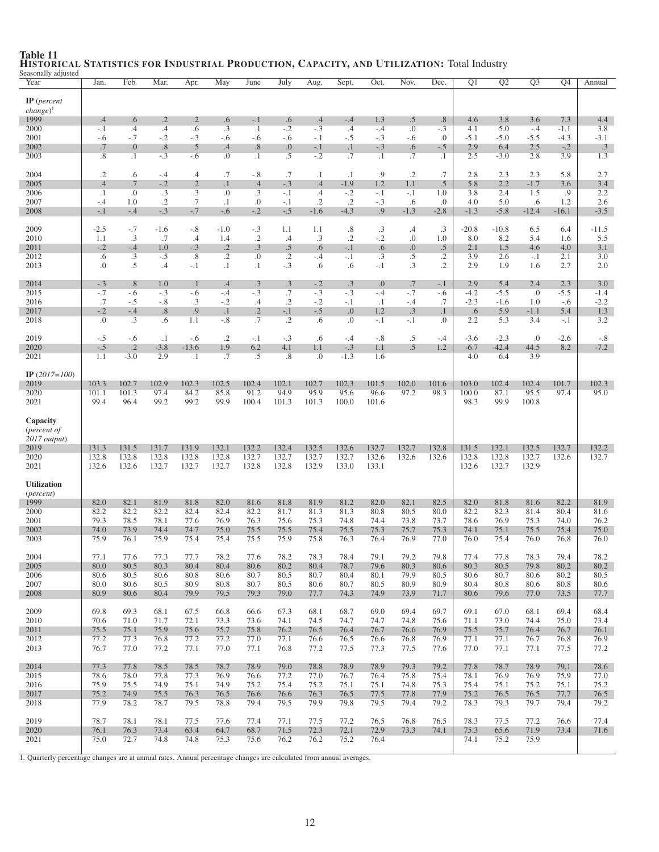| Seasonally adjusted<br>Year                       | Jan.            | Feb.                | Mar.                | Apr.                    | May                      | June                | July                 | Aug.                 | Sept.              | Oct.               | Nov.              | Dec.             | Q <sub>1</sub>   | Q <sub>2</sub>    | $\overline{Q3}$ | Q4              | Annual           |
|---------------------------------------------------|-----------------|---------------------|---------------------|-------------------------|--------------------------|---------------------|----------------------|----------------------|--------------------|--------------------|-------------------|------------------|------------------|-------------------|-----------------|-----------------|------------------|
| $IP$ (percent<br>$change)$ <sup>1</sup><br>1999   | .4              | .6                  | $\overline{2}$      | $\cdot$                 | .6                       | $-.1$               | .6                   | .4                   | $-.4$              | 1.3                | .5                | $.8\,$           | 4.6              | 3.8               | 3.6             | 7.3             | 4.4              |
| 2000                                              | $-.1$           | $\cdot$ 4           | $\cdot$             | .6                      | $\cdot$ 3                | $\cdot$ 1           | $-.2$                | $-.3$                | $.4\,$             | $-.4$              | $\overline{0}$ .  | $-.3$            | 4.1              | 5.0               | $-.4$           | $-1.1$          | 3.8              |
| 2001<br>2002                                      | $-.6$<br>.7     | $-.7$<br>.0         | $-.2$<br>.8         | $-.3$<br>.5             | $-.6$<br>.4              | $-.6$<br>.8         | $-.6$<br>0.          | $-.1$<br>$-.1$       | $-.5$<br>$\cdot$ 1 | $-.3$<br>$-.3$     | $-.6$<br>.6       | $\cdot$<br>$-.5$ | $-5.1$<br>2.9    | $-5.0$<br>6.4     | $-5.5$<br>2.5   | $-4.3$<br>$-.2$ | $-3.1$<br>.3     |
| 2003                                              | .8              | $\cdot$             | $-.3$               | $-.6$                   | 0.                       | $\cdot$ 1           | $.5\overline{)}$     | $-.2$                | .7                 | $\cdot$            | .7                | $\cdot$ 1        | 2.5              | $-3.0$            | 2.8             | 3.9             | 1.3              |
| 2004                                              | .2              | .6                  | $-.4$               | $.4\,$                  | .7                       | $-.8$               | .7                   | $\cdot$              | $\cdot$ 1          | .9                 | $\cdot$ .2        | .7               | 2.8              | 2.3               | 2.3             | 5.8             | 2.7              |
| 2005<br>2006                                      | .4<br>$\cdot$ 1 | .7<br>.0            | $-.2$<br>.3         | $\cdot$ .2<br>$\cdot$ 3 | $\cdot$ 1<br>.0          | .4<br>.3            | $-.3$<br>$-.1$       | .4<br>$\cdot$ 4      | $-1.9$<br>$-.2$    | 1.2<br>$-.1$       | 1.1<br>$-.1$      | $.5\,$<br>1.0    | 5.8<br>3.8       | 2.2<br>2.4        | $-1.7$<br>1.5   | 3.6<br>.9       | 3.4<br>2.2       |
| 2007<br>2008                                      | $-.4$<br>$-.1$  | 1.0<br>$-.4$        | $\cdot$ .2<br>$-.3$ | .7<br>$-.7$             | $\cdot$ 1<br>$-.6$       | .0<br>$-.2$         | -.1<br>$-.5$         | $\cdot$ .2<br>$-1.6$ | .2<br>$-4.3$       | $-.3$<br>.9        | .6<br>$-1.3$      | .0<br>$-2.8$     | 4.0<br>$-1.3$    | 5.0<br>$-5.8$     | .6<br>$-12.4$   | 1.2<br>$-16.1$  | 2.6<br>$-3.5$    |
|                                                   |                 |                     |                     |                         |                          |                     |                      |                      |                    |                    |                   |                  |                  |                   |                 |                 |                  |
| 2009<br>2010                                      | $-2.5$<br>1.1   | $-.7$<br>.3         | $-1.6$<br>.7        | $-.8$<br>.4             | $-1.0$<br>1.4            | $-.3$<br>$\cdot$ .2 | 1.1<br>.4            | 1.1<br>.3            | .8<br>$\cdot$ .2   | $\cdot$ 3<br>$-.2$ | $.4\,$<br>$\cdot$ | .3<br>1.0        | $-20.8$<br>8.0   | $-10.8$<br>8.2    | 6.5<br>5.4      | 6.4<br>1.6      | $-11.5$<br>5.5   |
| 2011<br>2012                                      | $-.2$<br>.6     | $-.4$<br>.3         | 1.0<br>$-.5$        | $-.3$<br>.8             | $\cdot$ .2<br>$\cdot$ .2 | .3<br>.0            | $.5\,$<br>$\cdot$ .2 | .6<br>$-.4$          | $-.1$<br>$-.1$     | .6<br>.3           | 0.<br>$.5\,$      | .5<br>$\cdot$ .2 | 2.1<br>3.9       | 1.5<br>2.6        | 4.6<br>$-.1$    | 4.0<br>2.1      | 3.1<br>3.0       |
| 2013                                              | $\cdot$         | .5                  | .4                  | $-.1$                   | $\cdot$ 1                | $\cdot$ 1           | $-.3$                | .6                   | .6                 | $-.1$              | .3                | $\cdot$ .2       | 2.9              | 1.9               | 1.6             | 2.7             | 2.0              |
| 2014                                              | $-.3$           | .8                  | 1.0                 | $\cdot$ 1               | .4                       | .3                  | .3                   | $-.2$                | .3                 | 0.                 | .7                | $-.1$            | 2.9              | 5.4               | 2.4             | 2.3             | 3.0              |
| 2015<br>2016                                      | $-.7$<br>.7     | $-.6$<br>$-.5$      | $-.3$<br>$-.8$      | $-.6$<br>.3             | $-.4$<br>$-.2$           | $-.3$<br>.4         | .7<br>$\cdot$ .2     | $-.3$<br>$-.2$       | $-.3$<br>$-.1$     | $-.4$<br>$\cdot$   | $-.7$<br>$-.4$    | -.6<br>.7        | $-4.2$<br>$-2.3$ | $-5.5$<br>$-1.6$  | .0<br>1.0       | $-5.5$<br>-.6   | $-1.4$<br>$-2.2$ |
| 2017                                              | $-.2$           | $-.4$               | .8                  | .9                      | $\cdot$ 1                | $\cdot$             | $-.1$                | $-.5$                | $\Omega$ .         | 1.2                | $\cdot$ 3         | $\cdot$ 1        | .6               | 5.9               | $-1.1$          | 5.4             | 1.3              |
| 2018                                              | .0              | $\cdot$ 3           | .6                  | 1.1                     | $-.8$                    | .7                  | $\cdot$ .2           | .6                   | $\Omega$ .         | $-.1$              | $-.1$             | $\Omega$ .       | 2.2              | 5.3               | 3.4             | $-.1$           | 3.2              |
| 2019<br>2020                                      | $-.5$<br>$-.5$  | $-.6$<br>$\cdot$ .2 | $\cdot$ 1<br>$-3.8$ | $-.6$<br>$-13.6$        | $\cdot$ .2<br>1.9        | $-.1$<br>6.2        | $-.3$<br>4.1         | .6<br>1.1            | $-.4$<br>$-.3$     | $-.8$<br>1.1       | $.5\,$<br>.5      | $-.4$<br>1.2     | $-3.6$<br>$-6.7$ | $-2.3$<br>$-42.4$ | .0<br>44.5      | $-2.6$<br>8.2   | $-.8$<br>$-7.2$  |
| 2021                                              | 1.1             | $-3.0$              | 2.9                 | $\cdot$ 1               | .7                       | .5                  | .8                   | .0                   | $-1.3$             | 1.6                |                   |                  | 4.0              | 6.4               | 3.9             |                 |                  |
| IP $(2017=100)$                                   |                 |                     |                     |                         |                          |                     |                      |                      |                    |                    |                   |                  |                  |                   |                 |                 |                  |
| 2019<br>2020                                      | 103.3<br>101.1  | 102.7<br>101.3      | 102.9<br>97.4       | 102.3<br>84.2           | 102.5<br>85.8            | 102.4<br>91.2       | 102.1<br>94.9        | 102.7<br>95.9        | 102.3<br>95.6      | 101.5<br>96.6      | 102.0<br>97.2     | 101.6<br>98.3    | 103.0<br>100.0   | 102.4<br>87.1     | 102.4<br>95.5   | 101.7<br>97.4   | 102.3<br>95.0    |
| 2021                                              | 99.4            | 96.4                | 99.2                | 99.2                    | 99.9                     | 100.4               | 101.3                | 101.3                | 100.0              | 101.6              |                   |                  | 98.3             | 99.9              | 100.8           |                 |                  |
| Capacity<br>( <i>percent of</i><br>$2017$ output) |                 |                     |                     |                         |                          |                     |                      |                      |                    |                    |                   |                  |                  |                   |                 |                 |                  |
| 2019<br>2020                                      | 131.3<br>132.8  | 131.5<br>132.8      | 131.7<br>132.8      | 131.9<br>132.8          | 132.1<br>132.8           | 132.2<br>132.7      | 132.4<br>132.7       | 132.5<br>132.7       | 132.6<br>132.7     | 132.7<br>132.6     | 132.7<br>132.6    | 132.8<br>132.6   | 131.5<br>132.8   | 132.1<br>132.8    | 132.5<br>132.7  | 132.7<br>132.6  | 132.2<br>132.7   |
| 2021                                              | 132.6           | 132.6               | 132.7               | 132.7                   | 132.7                    | 132.8               | 132.8                | 132.9                | 133.0              | 133.1              |                   |                  | 132.6            | 132.7             | 132.9           |                 |                  |
| <b>Utilization</b><br>( <i>percent</i> )          |                 |                     |                     |                         |                          |                     |                      |                      |                    |                    |                   |                  |                  |                   |                 |                 |                  |
| 1999<br>2000                                      | 82.0<br>82.2    | 82.1<br>82.2        | 81.9<br>82.2        | 81.8<br>82.4            | 82.0<br>82.4             | 81.6<br>82.2        | 81.8<br>81.7         | 81.9<br>81.3         | 81.2<br>81.3       | 82.0<br>80.8       | 82.1<br>80.5      | 82.5<br>80.0     | 82.0<br>82.2     | 81.8<br>82.3      | 81.6<br>81.4    | 82.2<br>80.4    | 81.9<br>81.6     |
| 2001                                              | 79.3            | 78.5                | 78.1                | 77.6                    | 76.9                     | 76.3                | 75.6                 | 75.3                 | 74.8               | 74.4               | 73.8              | 73.7             | 78.6             | 76.9              | 75.3            | 74.0            | 76.2             |
| 2002<br>2003                                      | 74.0<br>75.9    | 73.9<br>76.1        | 74.4<br>75.9        | 74.7<br>75.4            | 75.0<br>75.4             | 75.5<br>75.5        | 75.5<br>75.9         | 75.4<br>75.8         | 75.5<br>76.3       | 75.3<br>76.4       | 75.7<br>76.9      | 75.3<br>77.0     | 74.1<br>76.0     | 75.1<br>75.4      | 75.5<br>76.0    | 75.4<br>76.8    | 75.0<br>76.0     |
| 2004                                              | 77.1            | 77.6                | 77.3                | 77.7                    | 78.2                     | 77.6                | 78.2                 | 78.3                 | 78.4               | 79.1               | 79.2              | 79.8             | 77.4             | 77.8              | 78.3            | 79.4            | 78.2             |
| 2005<br>2006                                      | 80.0<br>80.6    | 80.5<br>80.5        | 80.3<br>80.6        | 80.4<br>80.8            | 80.4<br>80.6             | 80.6<br>80.7        | 80.2<br>80.5         | 80.4<br>80.7         | 78.7<br>80.4       | 79.6<br>80.1       | 80.3<br>79.9      | 80.6<br>80.5     | 80.3<br>80.6     | 80.5<br>80.7      | 79.8<br>80.6    | 80.2<br>80.2    | 80.2<br>80.5     |
| 2007                                              | 80.0            | 80.6                | 80.5                | 80.9                    | 80.8                     | 80.7                | 80.5                 | 80.6                 | 80.7               | 80.5               | 80.9              | 80.9             | 80.4             | 80.8              | 80.6            | 80.8            | 80.6             |
| 2008                                              | 80.9            | 80.6                | 80.4                | 79.9                    | 79.5                     | 79.3                | 79.0                 | 77.7                 | 74.3               | 74.9               | 73.9              | 71.7             | 80.6             | 79.6              | 77.0            | 73.5            | 77.7             |
| 2009<br>2010                                      | 69.8<br>70.6    | 69.3<br>71.0        | 68.1<br>71.7        | 67.5<br>72.1            | 66.8<br>73.3             | 66.6<br>73.6        | 67.3<br>74.1         | 68.1<br>74.5         | 68.7<br>74.7       | 69.0<br>74.7       | 69.4<br>74.8      | 69.7<br>75.6     | 69.1<br>71.1     | 67.0<br>73.0      | 68.1<br>74.4    | 69.4<br>75.0    | 68.4<br>73.4     |
| 2011                                              | 75.5            | 75.1                | 75.9                | 75.6                    | 75.7                     | 75.8                | 76.2                 | 76.5                 | 76.4               | 76.7               | 76.6              | 76.9             | 75.5             | 75.7              | 76.4            | 76.7            | 76.1             |
| 2012<br>2013                                      | 77.2<br>76.7    | 77.3<br>77.0        | 76.8<br>77.2        | 77.2<br>77.1            | 77.2<br>77.0             | 77.0<br>77.1        | 77.1<br>76.8         | 76.6<br>77.2         | 76.5<br>77.5       | 76.6<br>77.3       | 76.8<br>77.5      | 76.9<br>77.6     | 77.1<br>77.0     | 77.1<br>77.1      | 76.7<br>77.1    | 76.8<br>77.5    | 76.9<br>77.2     |
| 2014                                              | 77.3            | 77.8                | 78.5                | 78.5                    | 78.7                     | 78.9                | 79.0                 | 78.8                 | 78.9               | 78.9               | 79.3              | 79.2             | 77.8             | 78.7              | 78.9            | 79.1            | 78.6             |
| 2015                                              | 78.6            | 78.0                | 77.8                | 77.3                    | 76.9                     | 76.6                | 77.2                 | 77.0                 | 76.7               | 76.4               | 75.8              | 75.4             | 78.1             | 76.9              | 76.9            | 75.9            | 77.0             |
| 2016<br>2017                                      | 75.9<br>75.2    | 75.5<br>74.9        | 74.9<br>75.5        | 75.1<br>76.3            | 74.9<br>76.5             | 75.2<br>76.6        | 75.4<br>76.6         | 75.2<br>76.3         | 75.1<br>76.5       | 75.1<br>77.5       | 74.8<br>77.8      | 75.3<br>77.9     | 75.4<br>75.2     | 75.1<br>76.5      | 75.2<br>76.5    | 75.1<br>77.7    | 75.2<br>76.5     |
| 2018                                              | 77.9            | 78.2                | 78.7                | 79.5                    | 78.8                     | 79.4                | 79.5                 | 79.9                 | 79.8               | 79.5               | 79.4              | 79.2             | 78.3             | 79.3              | 79.7            | 79.4            | 79.2             |
| 2019                                              | 78.7            | 78.1                | 78.1                | 77.5                    | 77.6                     | 77.4                | 77.1                 | 77.5                 | 77.2               | 76.5               | 76.8              | 76.5             | 78.3             | 77.5              | 77.2            | 76.6            | 77.4             |
| 2020<br>2021                                      | 76.1<br>75.0    | 76.3<br>72.7        | 73.4<br>74.8        | 63.4<br>74.8            | 64.7<br>75.3             | 68.7<br>75.6        | 71.5<br>76.2         | 72.3<br>76.2         | 72.1<br>75.2       | 72.9<br>76.4       | 73.3              | 74.1             | 75.3<br>74.1     | 65.6<br>75.2      | 71.9<br>75.9    | 73.4            | 71.6             |
|                                                   |                 |                     |                     |                         |                          |                     |                      |                      |                    |                    |                   |                  |                  |                   |                 |                 |                  |

# Table 11 HISTORICAL STATISTICS FOR INDUSTRIAL PRODUCTION, CAPACITY, AND UTILIZATION: Total Industry Seasonally adjusted

1. Quarterly percentage changes are at annual rates. Annual percentage changes are calculated from annual averages.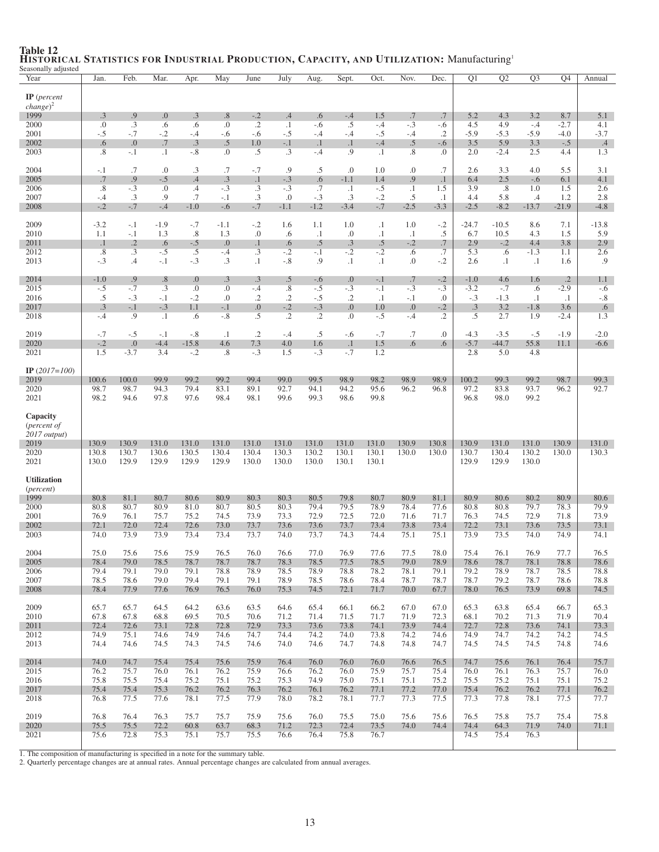| seasonally adjusted<br>Year                       | Jan.                     | Feb.           | Mar.            | Apr.                    | May                      | June                     | July                 | Aug.           | Sept.               | Oct.               | Nov.           | Dec.              | Q <sub>1</sub>   | Q2                | $\overline{Q3}$     | Q4                  | Annual           |
|---------------------------------------------------|--------------------------|----------------|-----------------|-------------------------|--------------------------|--------------------------|----------------------|----------------|---------------------|--------------------|----------------|-------------------|------------------|-------------------|---------------------|---------------------|------------------|
|                                                   |                          |                |                 |                         |                          |                          |                      |                |                     |                    |                |                   |                  |                   |                     |                     |                  |
| $IP$ (percent                                     |                          |                |                 |                         |                          |                          |                      |                |                     |                    |                |                   |                  |                   |                     |                     |                  |
| $change)^2$                                       |                          |                |                 |                         |                          |                          |                      |                |                     |                    |                |                   |                  |                   |                     |                     |                  |
| 1999                                              | .3                       | .9<br>.3       | 0.              | .3                      | .8<br>0.                 | $-.2$<br>$\overline{.2}$ | $\cdot$<br>$\cdot$ 1 | .6             | $-.4$               | 1.5                | .7<br>$-.3$    | .7                | 5.2<br>4.5       | 4.3<br>4.9        | 3.2                 | 8.7<br>$-2.7$       | 5.1              |
| 2000<br>2001                                      | .0<br>$-.5$              | $-.7$          | .6<br>$-.2$     | .6<br>-.4               | -.6                      | $-.6$                    | $-.5$                | $-.6$<br>-.4   | $.5\,$<br>$-.4$     | $-.4$<br>$-.5$     | $-.4$          | -.6<br>$\cdot$ .2 | $-5.9$           | $-5.3$            | $-.4$<br>$-5.9$     | $-4.0$              | 4.1<br>$-3.7$    |
| 2002                                              | .6                       | 0.             | .7              | .3                      | .5                       | 1.0                      | $-.1$                | $\cdot$        | $\cdot$ 1           | $-.4$              | .5             | -.6               | 3.5              | 5.9               | 3.3                 | $-.5$               | $.4\phantom{0}$  |
| 2003                                              | $\cdot$ 8                | $-.1$          | $\cdot$ 1       | $-.8$                   | 0.                       | .5                       | .3                   | $-.4$          | .9                  | $\cdot$ 1          | .8             | $\Omega$ .        | 2.0              | $-2.4$            | 2.5                 | 4.4                 | 1.3              |
|                                                   |                          |                |                 |                         |                          |                          |                      |                |                     |                    |                |                   |                  |                   |                     |                     |                  |
| 2004<br>2005                                      | $-.1$<br>.7              | .7<br>.9       | .0<br>$-.5$     | .3<br>.4                | .7<br>.3                 | $-.7$<br>$\cdot$ 1       | .9<br>$-.3$          | .5<br>.6       | .0<br>$-1.1$        | 1.0<br>1.4         | $\cdot$<br>.9  | .7<br>$\cdot$ 1   | 2.6<br>6.4       | 3.3<br>2.5        | 4.0<br>$-.6$        | 5.5<br>6.1          | 3.1<br>4.1       |
| 2006                                              | .8                       | $-.3$          | 0.              | .4                      | $-.3$                    | .3                       | $-.3$                | .7             | $\cdot$ 1           | $-.5$              | $\cdot$        | 1.5               | 3.9              | .8                | 1.0                 | 1.5                 | 2.6              |
| 2007                                              | $-.4$                    | .3             | .9              | .7                      | $-.1$                    | $\cdot$ 3                | .0                   | $-.3$          | $.3\phantom{0}$     | $-.2$              | .5             | $\cdot$ 1         | 4.4              | 5.8               | $.4\phantom{0}$     | 1.2                 | 2.8              |
| 2008                                              | $-.2$                    | $-.7$          | $-.4$           | $-1.0$                  | $-.6$                    | $-.7$                    | $-1.1$               | $-1.2$         | $-3.4$              | $-.7$              | $-2.5$         | $-3.3$            | $-2.5$           | $-8.2$            | $-13.7$             | $-21.9$             | $-4.8$           |
| 2009                                              | $-3.2$                   | $-.1$          | $-1.9$          | $-.7$                   | $-1.1$                   | $-.2$                    | 1.6                  | 1.1            | 1.0                 | $\cdot$            | 1.0            | $-.2$             | $-24.7$          | $-10.5$           | 8.6                 | 7.1                 | $-13.8$          |
| 2010                                              | 1.1                      | $-.1$          | 1.3             | .8                      | 1.3                      | .0                       | .6                   | $\cdot$ 1      | .0                  | $\cdot$            | $\cdot$ 1      | $.5\,$            | 6.7              | 10.5              | 4.3                 | 1.5                 | 5.9              |
| 2011                                              | $\cdot$ 1                | $\cdot$ .2     | .6              | $-.5$                   | 0.                       | $\cdot$ 1                | .6                   | .5             | .3                  | $.5\,$             | $-.2$          | .7                | 2.9              | $-.2$             | 4.4                 | 3.8                 | 2.9              |
| 2012<br>2013                                      | $\overline{.8}$<br>$-.3$ | .3<br>.4       | $-.5$<br>$-.1$  | .5<br>$-.3$             | $-.4$<br>$.3\phantom{0}$ | .3<br>$\cdot$ 1          | $-.2$<br>$-.8$       | $-.1$<br>.9    | $-.2$<br>$\cdot$ 1  | $-.2$<br>$\cdot$   | .6<br>0.       | .7<br>$-.2$       | 5.3<br>2.6       | .6<br>$\cdot$     | $-1.3$<br>$\cdot$ 1 | 1.1<br>1.6          | 2.6<br>.9        |
|                                                   |                          |                |                 |                         |                          |                          |                      |                |                     |                    |                |                   |                  |                   |                     |                     |                  |
| 2014                                              | $-1.0$                   | .9             | $.8\,$          | 0.0                     | .3                       | .3                       | .5                   | $-.6$          | 0.0                 | $-.1$              | .7             | $-.2$             | $-1.0$           | 4.6               | 1.6                 | $\cdot$ .2          | 1.1              |
| 2015<br>2016                                      | $-.5$<br>.5              | $-.7$<br>$-.3$ | .3<br>$-.1$     | $\overline{0}$<br>$-.2$ | $\cdot$<br>.0            | $-.4$<br>$\cdot$ .2      | .8<br>$\cdot$ .2     | $-.5$<br>$-.5$ | $-.3$<br>$\cdot$ .2 | $-.1$<br>$\cdot$ 1 | $-.3$<br>$-.1$ | $-.3$<br>$\cdot$  | $-3.2$<br>$-.3$  | $-.7$<br>$-1.3$   | .6                  | $-2.9$<br>$\cdot$ 1 | $-.6$<br>$-.8$   |
| 2017                                              | .3                       | $-.1$          | $-.3$           | 1.1                     | $-.1$                    | 0.                       | $-.2$                | $-.3$          | 0.                  | 1.0                | 0.             | $-.2$             | .3               | 3.2               | $\cdot$ 1<br>$-1.8$ | 3.6                 | $.6\,$           |
| 2018                                              | $-.4$                    | .9             | $\cdot$ 1       | .6                      | $-.8$                    | .5                       | $\cdot$ .2           | $\cdot$ .2     | .0                  | $-.5$              | $-.4$          | $\cdot$ .2        | .5               | 2.7               | 1.9                 | $-2.4$              | 1.3              |
|                                                   |                          |                |                 |                         |                          |                          |                      |                |                     |                    |                |                   |                  |                   |                     |                     |                  |
| 2019<br>2020                                      | $-.7$<br>$-.2$           | $-.5$<br>.0    | $-.1$<br>$-4.4$ | $-.8$<br>$-15.8$        | $\cdot$ 1<br>4.6         | $\cdot$<br>7.3           | $-.4$<br>4.0         | .5<br>1.6      | $-.6$<br>$\cdot$ 1  | $-.7$<br>1.5       | .7<br>.6       | $\Omega$ .<br>.6  | $-4.3$<br>$-5.7$ | $-3.5$<br>$-44.7$ | $-.5$<br>55.8       | $-1.9$<br>11.1      | $-2.0$<br>$-6.6$ |
| 2021                                              | 1.5                      | $-3.7$         | 3.4             | $-.2$                   | $.8\,$                   | $-.3$                    | 1.5                  | $-.3$          | $-.7$               | 1.2                |                |                   | 2.8              | 5.0               | 4.8                 |                     |                  |
|                                                   |                          |                |                 |                         |                          |                          |                      |                |                     |                    |                |                   |                  |                   |                     |                     |                  |
| IP $(2017=100)$                                   |                          |                |                 |                         |                          |                          |                      |                |                     |                    |                |                   |                  |                   |                     |                     |                  |
| 2019<br>2020                                      | 100.6<br>98.7            | 100.0<br>98.7  | 99.9<br>94.3    | 99.2<br>79.4            | 99.2<br>83.1             | 99.4<br>89.1             | 99.0<br>92.7         | 99.5<br>94.1   | 98.9<br>94.2        | 98.2<br>95.6       | 98.9<br>96.2   | 98.9<br>96.8      | 100.2<br>97.2    | 99.3<br>83.8      | 99.2<br>93.7        | 98.7<br>96.2        | 99.3<br>92.7     |
| 2021                                              | 98.2                     | 94.6           | 97.8            | 97.6                    | 98.4                     | 98.1                     | 99.6                 | 99.3           | 98.6                | 99.8               |                |                   | 96.8             | 98.0              | 99.2                |                     |                  |
| Capacity<br>( <i>percent of</i><br>$2017$ output) |                          |                |                 |                         |                          |                          |                      |                |                     |                    |                |                   |                  |                   |                     |                     |                  |
| 2019                                              | 130.9                    | 130.9          | 131.0           | 131.0                   | 131.0                    | 131.0                    | 131.0<br>130.3       | 131.0<br>130.2 | 131.0               | 131.0              | 130.9<br>130.0 | 130.8<br>130.0    | 130.9<br>130.7   | 131.0<br>130.4    | 131.0<br>130.2      | 130.9               | 131.0<br>130.3   |
| 2020<br>2021                                      | 130.8<br>130.0           | 130.7<br>129.9 | 130.6<br>129.9  | 130.5<br>129.9          | 130.4<br>129.9           | 130.4<br>130.0           | 130.0                | 130.0          | 130.1<br>130.1      | 130.1<br>130.1     |                |                   | 129.9            | 129.9             | 130.0               | 130.0               |                  |
| <b>Utilization</b>                                |                          |                |                 |                         |                          |                          |                      |                |                     |                    |                |                   |                  |                   |                     |                     |                  |
| ( <i>percent</i> )                                |                          |                |                 |                         |                          |                          |                      |                |                     |                    |                |                   |                  |                   |                     |                     |                  |
| 1999                                              | 80.8                     | 81.1           | 80.7            | 80.6                    | 80.9                     | 80.3                     | 80.3                 | 80.5           | 79.8                | 80.7               | 80.9           | 81.1              | 80.9             | 80.6              | 80.2                | 80.9                | 80.6             |
| 2000                                              | 80.8                     | 80.7           | 80.9            | 81.0                    | 80.7                     | 80.5                     | 80.3                 | 79.4           | 79.5                | 78.9               | 78.4           | 77.6              | 80.8             | 80.8              | 79.7                | 78.3                | 79.9             |
| 2001<br>2002                                      | 76.9<br>72.1             | 76.1<br>72.0   | 75.7<br>72.4    | 75.2<br>72.6            | 74.5<br>73.0             | 73.9                     | 73.3                 | 72.9           | 72.5                | 72.0<br>73.4       | 71.6           | 71.7              | 76.3<br>72.2     | 74.5              | 72.9                | 71.8                | 73.9             |
| 2003                                              | 74.0                     | 73.9           | 73.9            | 73.4                    | 73.4                     | 73.7<br>73.7             | 73.6<br>74.0         | 73.6<br>73.7   | 73.7<br>74.3        | 74.4               | 73.8<br>75.1   | 73.4<br>75.1      | 73.9             | 73.1<br>73.5      | 73.6<br>74.0        | 73.5<br>74.9        | 73.1<br>74.1     |
|                                                   |                          |                |                 |                         |                          |                          |                      |                |                     |                    |                |                   |                  |                   |                     |                     |                  |
| 2004<br>2005                                      | 75.0<br>78.4             | 75.6           | 75.6            | 75.9<br>78.7            | 76.5<br>78.7             | 76.0<br>78.7             | 76.6                 | 77.0<br>78.5   | 76.9<br>77.5        | 77.6               | 77.5           | 78.0              | 75.4<br>78.6     | 76.1<br>78.7      | 76.9<br>78.1        | 77.7<br>78.8        | 76.5<br>78.6     |
| 2006                                              | 79.4                     | 79.0<br>79.1   | 78.5<br>79.0    | 79.1                    | 78.8                     | 78.9                     | 78.3<br>78.5         | 78.9           | 78.8                | 78.5<br>78.2       | 79.0<br>78.1   | 78.9<br>79.1      | 79.2             | 78.9              | 78.7                | 78.5                | 78.8             |
| 2007                                              | 78.5                     | 78.6           | 79.0            | 79.4                    | 79.1                     | 79.1                     | 78.9                 | 78.5           | 78.6                | 78.4               | 78.7           | 78.7              | 78.7             | 79.2              | 78.7                | 78.6                | 78.8             |
| 2008                                              | 78.4                     | 77.9           | 77.6            | 76.9                    | 76.5                     | 76.0                     | 75.3                 | 74.5           | 72.1                | 71.7               | 70.0           | 67.7              | 78.0             | 76.5              | 73.9                | 69.8                | 74.5             |
| 2009                                              | 65.7                     | 65.7           | 64.5            | 64.2                    | 63.6                     | 63.5                     | 64.6                 | 65.4           | 66.1                | 66.2               | 67.0           | 67.0              | 65.3             | 63.8              | 65.4                | 66.7                | 65.3             |
| 2010                                              | 67.8                     | 67.8           | 68.8            | 69.5                    | 70.5                     | 70.6                     | 71.2                 | 71.4           | 71.5                | 71.7               | 71.9           | 72.3              | 68.1             | 70.2              | 71.3                | 71.9                | 70.4             |
| 2011                                              | 72.4                     | 72.6           | 73.1            | 72.8                    | 72.8                     | 72.9                     | 73.3                 | 73.6           | 73.8                | 74.1               | 73.9           | 74.4              | 72.7             | 72.8              | 73.6                | 74.1                | 73.3             |
| 2012                                              | 74.9                     | 75.1           | 74.6            | 74.9                    | 74.6                     | 74.7                     | 74.4                 | 74.2           | 74.0                | 73.8               | 74.2           | 74.6              | 74.9             | 74.7              | 74.2                | 74.2                | 74.5             |
| 2013                                              | 74.4                     | 74.6           | 74.5            | 74.3                    | 74.5                     | 74.6                     | 74.0                 | 74.6           | 74.7                | 74.8               | 74.8           | 74.7              | 74.5             | 74.5              | 74.5                | 74.8                | 74.6             |
| 2014                                              | 74.0                     | 74.7           | 75.4            | 75.4                    | 75.6                     | 75.9                     | 76.4                 | 76.0           | 76.0                | 76.0               | 76.6           | 76.5              | 74.7             | 75.6              | 76.1                | 76.4                | 75.7             |
| 2015                                              | 76.2                     | 75.7           | 76.0            | 76.1                    | 76.2                     | 75.9                     | 76.6                 | 76.2           | 76.0                | 75.9               | 75.7           | 75.4              | 76.0             | 76.1              | 76.3                | 75.7                | 76.0             |
| 2016<br>2017                                      | 75.8<br>75.4             | 75.5<br>75.4   | 75.4<br>75.3    | 75.2<br>76.2            | 75.1<br>76.2             | 75.2<br>76.3             | 75.3<br>76.2         | 74.9<br>76.1   | 75.0<br>76.2        | 75.1<br>77.1       | 75.1<br>77.2   | 75.2<br>77.0      | 75.5<br>75.4     | 75.2<br>76.2      | 75.1<br>76.2        | 75.1<br>77.1        | 75.2<br>76.2     |
| 2018                                              | 76.8                     | 77.5           | 77.6            | 78.1                    | 77.5                     | 77.9                     | 78.0                 | 78.2           | 78.1                | 77.7               | 77.3           | 77.5              | 77.3             | 77.8              | 78.1                | 77.5                | 77.7             |
|                                                   |                          |                |                 |                         |                          |                          |                      |                |                     |                    |                |                   |                  |                   |                     |                     |                  |
| 2019<br>2020                                      | 76.8<br>75.5             | 76.4<br>75.5   | 76.3<br>72.2    | 75.7                    | 75.7                     | 75.9<br>68.3             | 75.6                 | 76.0           | 75.5                | 75.0<br>73.5       | 75.6<br>74.0   | 75.6              | 76.5<br>74.4     | 75.8              | 75.7                | 75.4                | 75.8             |
| 2021                                              | 75.6                     | 72.8           | 75.3            | 60.8<br>75.1            | 63.7<br>75.7             | 75.5                     | 71.2<br>76.6         | 72.3<br>76.4   | 72.4<br>75.8        | 76.7               |                | 74.4              | 74.5             | 64.3<br>75.4      | 71.9<br>76.3        | 74.0                | 71.1             |
|                                                   |                          |                |                 |                         |                          |                          |                      |                |                     |                    |                |                   |                  |                   |                     |                     |                  |

# Table 12<br>HISTORICAL STATISTICS FOR INDUSTRIAL PRODUCTION, CAPACITY, AND UTILIZATION: Manufacturing<sup>1</sup><br>Seasonally adjusted

1. The composition of manufacturing is specified in a note for the summary table. 2. Quarterly percentage changes are at annual rates. Annual percentage changes are calculated from annual averages.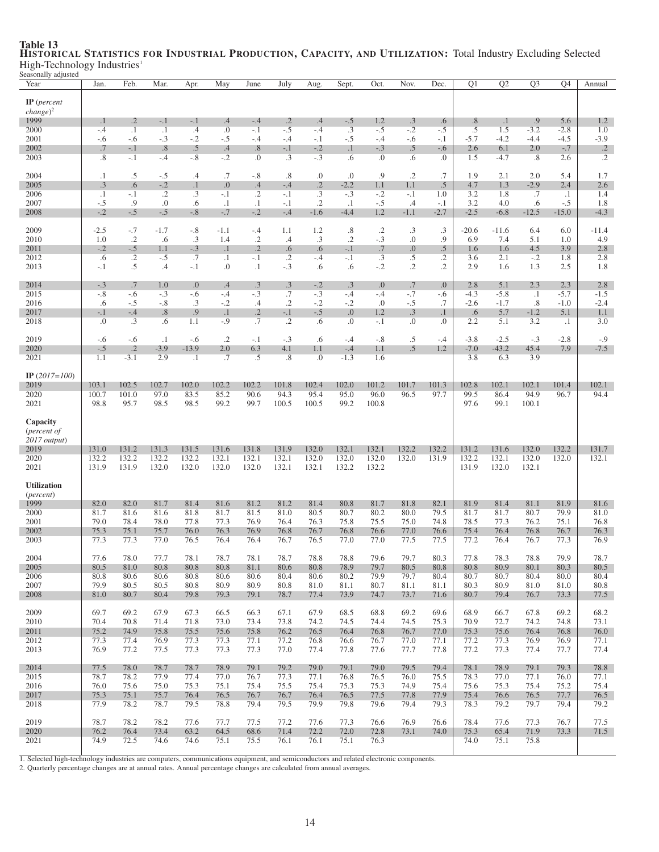| seasonany adjusted<br>Year                              | Jan.               | Feb.                 | Mar.                  | Apr.                 | May                    | June                   | July             | Aug.            | Sept.              | Oct.            | Nov.                   | Dec.           | Q1               | $\overline{Q2}$  | $\overline{Q3}$     | $\overline{Q4}$  | Annual                         |
|---------------------------------------------------------|--------------------|----------------------|-----------------------|----------------------|------------------------|------------------------|------------------|-----------------|--------------------|-----------------|------------------------|----------------|------------------|------------------|---------------------|------------------|--------------------------------|
| $IP$ (percent<br>$change)^2$                            |                    |                      |                       |                      |                        |                        |                  |                 |                    |                 |                        |                |                  |                  |                     |                  |                                |
| 1999                                                    | $\cdot$ 1          | $\cdot$ .2           | $-.1$                 | $-.1$                | .4                     | $-.4$                  | $\cdot$ .2       | .4              | $-.5$              | 1.2             | $.3\phantom{0}$        | .6             | .8               | $\cdot$ 1        | .9                  | 5.6              | 1.2                            |
| 2000                                                    | $-.4$              | $\cdot$ 1            | $\cdot$ 1             | $.4\,$               | .0                     | $-.1$                  | $-.5$            | $-.4$           | $.3\phantom{0}$    | $-.5$           | $-.2$                  | $-.5$          | .5               | 1.5              | $-3.2$              | $-2.8$           | 1.0                            |
| 2001<br>2002                                            | $-.6$<br>.7        | $-.6$<br>$-.1$       | $-.3$<br>.8           | $-.2$<br>.5          | $-.5$<br>.4            | $-.4$<br>.8            | -.4<br>$-.1$     | $-.1$<br>$-.2$  | -.5<br>$\cdot$ 1   | $-.4$<br>$-.3$  | -.6<br>.5              | $-.1$<br>$-.6$ | $-5.7$<br>2.6    | $-4.2$<br>6.1    | $-4.4$<br>2.0       | -4.5<br>$-.7$    | $-3.9$<br>$\cdot$ <sup>2</sup> |
| 2003                                                    | .8                 | $-.1$                | $-.4$                 | $-.8$                | $-.2$                  | .0                     | $\cdot$ 3        | $-.3$           | .6                 | $\Omega$        | .6                     | $\cdot$        | 1.5              | $-4.7$           | $.8\,$              | 2.6              | $\cdot$ .2                     |
| 2004                                                    | $\cdot$ 1          | $.5\,$               | $-.5$                 | $\cdot$ 4            | .7                     | $-.8$                  | .8               | .0              | 0.                 | .9              | $\cdot$ .2             | .7             | 1.9              | 2.1              | 2.0                 | 5.4              | 1.7                            |
| 2005                                                    | .3                 | .6                   | $-.2$                 | $\cdot$ 1            | 0.                     | .4                     | $-.4$            | $\cdot$ .2      | $-2.2$             | 1.1             | 1.1                    | $.5\,$         | 4.7              | 1.3              | $-2.9$              | 2.4              | 2.6                            |
| 2006<br>2007                                            | $\cdot$ 1<br>$-.5$ | $-.1$<br>.9          | $\overline{.2}$<br>.0 | $\cdot$ 3<br>.6      | $-.1$<br>$\cdot$ 1     | $\cdot$ 2<br>$\cdot$ 1 | $-.1$<br>$-.1$   | .3<br>$\cdot$ 2 | $-.3$<br>$\cdot$ 1 | $-.2$<br>$-.5$  | $-.1$<br>.4            | 1.0<br>$-.1$   | 3.2<br>3.2       | 1.8<br>4.0       | .7<br>.6            | $\cdot$<br>$-.5$ | 1.4<br>1.8                     |
| 2008                                                    | $-.2$              | $-.5$                | $-.5$                 | $-.8$                | $-.7$                  | $-.2$                  | $-.4$            | $-1.6$          | $-4.4$             | 1.2             | $-1.1$                 | $-2.7$         | $-2.5$           | $-6.8$           | $-12.5$             | $-15.0$          | $-4.3$                         |
| 2009                                                    | $-2.5$             | $-.7$                | $-1.7$                | $-.8$                | $-1.1$                 | $-.4$                  | 1.1              | 1.2             | .8                 | $\cdot$         | $\cdot$ 3              | $\cdot$ 3      | $-20.6$          | $-11.6$          | 6.4                 | 6.0              | $-11.4$                        |
| 2010                                                    | 1.0                | $\cdot$ .2           | .6                    | $.3\phantom{0}$      | 1.4                    | $\cdot$ .2             | .4               | .3              | $\cdot$ .2         | $-.3$           | $\boldsymbol{0}$ .     | .9             | 6.9              | 7.4              | 5.1                 | 1.0              | 4.9                            |
| 2011<br>2012                                            | $-.2$<br>.6        | $-.5$<br>$\cdot$ .2  | 1.1<br>$-.5$          | $-.3$<br>.7          | $\cdot$ 1<br>$\cdot$ 1 | $\cdot$ .2<br>$-.1$    | .6<br>$\cdot$ .2 | .6<br>$-.4$     | $-.1$<br>$-.1$     | .7<br>$\cdot$ 3 | $\overline{0}$ .<br>.5 | .5<br>.2       | 1.6<br>3.6       | 1.6<br>2.1       | 4.5<br>$-.2$        | 3.9<br>1.8       | 2.8<br>2.8                     |
| 2013                                                    | $-.1$              | .5                   | .4                    | $-.1$                | 0.                     | $\cdot$ 1              | $-.3$            | .6              | .6                 | $-.2$           | $\cdot$ .2             | $\cdot$        | 2.9              | 1.6              | 1.3                 | 2.5              | 1.8                            |
| 2014                                                    | $-.3$              | .7                   | 1.0                   | 0.0                  | .4                     | .3                     | .3               | $-.2$           | .3                 | 0.              | .7                     | 0.             | 2.8              | 5.1              | 2.3                 | 2.3              | 2.8                            |
| 2015<br>2016                                            | $-.8$<br>.6        | $-.6$<br>$-.5$       | $-.3$<br>$-.8$        | $-.6$<br>.3          | $-.4$<br>$-.2$         | $-.3$<br>$\cdot$       | .7<br>$\cdot$ .2 | $-.3$<br>$-.2$  | $-.4$<br>$-.2$     | $-.4$<br>0.     | $-.7$<br>$-.5$         | $-.6$<br>.7    | $-4.3$<br>$-2.6$ | $-5.8$<br>$-1.7$ | $\cdot$ 1<br>$.8\,$ | $-5.7$<br>$-1.0$ | $-1.5$<br>$-2.4$               |
| 2017                                                    | $-.1$              | $-.4$                | .8                    | .9                   | $\cdot$ 1              | $\cdot$ .2             | $-.1$            | $-.5$           | 0.                 | 1.2             | .3                     | $\cdot$ 1      | .6               | 5.7              | $-1.2$              | 5.1              | 1.1                            |
| 2018                                                    | .0                 | $\cdot$ 3            | .6                    | 1.1                  | $-.9$                  | .7                     | $\cdot$ .2       | .6              | $\cdot$            | $-.1$           | 0.                     | $\cdot$        | 2.2              | 5.1              | 3.2                 | $\cdot$ 1        | 3.0                            |
| 2019                                                    | $-.6$              | $-.6$                | $\cdot$ 1             | $-.6$                | $\cdot$ .2             | $-.1$                  | $-.3$            | .6              | $-.4$              | $-.8$           | .5                     | $-.4$          | $-3.8$           | $-2.5$           | $-.3$               | $-2.8$           | $-0.9$                         |
| 2020<br>2021                                            | $-.5$<br>1.1       | $\cdot$ .2<br>$-3.1$ | $-3.9$<br>2.9         | $-13.9$<br>$\cdot$ 1 | 2.0<br>.7              | 6.3<br>.5              | 4.1<br>.8        | 1.1<br>.0       | $-.4$<br>$-1.3$    | 1.1<br>1.6      | .5                     | 1.2            | $-7.0$<br>3.8    | $-43.2$<br>6.3   | 45.4<br>3.9         | 7.9              | $-7.5$                         |
| IP $(2017=100)$                                         |                    |                      |                       |                      |                        |                        |                  |                 |                    |                 |                        |                |                  |                  |                     |                  |                                |
| 2019                                                    | 103.1              | 102.5                | 102.7                 | 102.0                | 102.2                  | 102.2                  | 101.8            | 102.4           | 102.0              | 101.2           | 101.7                  | 101.3          | 102.8            | 102.1            | 102.1               | 101.4            | 102.1                          |
| 2020                                                    | 100.7              | 101.0                | 97.0                  | 83.5                 | 85.2                   | 90.6                   | 94.3             | 95.4            | 95.0               | 96.0            | 96.5                   | 97.7           | 99.5             | 86.4             | 94.9                | 96.7             | 94.4                           |
| 2021                                                    | 98.8               | 95.7                 | 98.5                  | 98.5                 | 99.2                   | 99.7                   | 100.5            | 100.5           | 99.2               | 100.8           |                        |                | 97.6             | 99.1             | 100.1               |                  |                                |
| Capacity<br>( <i>percent of</i><br>2017 output)<br>2019 | 131.0              | 131.2                | 131.3                 | 131.5                | 131.6                  | 131.8                  | 131.9            | 132.0           | 132.1              | 132.1           | 132.2                  | 132.2          | 131.2            | 131.6            | 132.0               | 132.2            | 131.7                          |
| 2020                                                    | 132.2              | 132.2                | 132.2                 | 132.2                | 132.1                  | 132.1                  | 132.1            | 132.0           | 132.0              | 132.0           | 132.0                  | 131.9          | 132.2            | 132.1            | 132.0               | 132.0            | 132.1                          |
| 2021                                                    | 131.9              | 131.9                | 132.0                 | 132.0                | 132.0                  | 132.0                  | 132.1            | 132.1           | 132.2              | 132.2           |                        |                | 131.9            | 132.0            | 132.1               |                  |                                |
| <b>Utilization</b><br>( <i>percent</i> )                |                    |                      |                       |                      |                        |                        |                  |                 |                    |                 |                        |                |                  |                  |                     |                  |                                |
| 1999                                                    | 82.0               | 82.0                 | 81.7                  | 81.4                 | 81.6                   | 81.2                   | 81.2             | 81.4            | 80.8               | 81.7            | 81.8                   | 82.1           | 81.9             | 81.4             | 81.1                | 81.9             | 81.6                           |
| 2000                                                    | 81.7               | 81.6                 | 81.6                  | 81.8                 | 81.7                   | 81.5                   | 81.0             | 80.5            | 80.7               | 80.2            | 80.0                   | 79.5           | 81.7             | 81.7             | 80.7                | 79.9             | 81.0                           |
| 2001<br>2002                                            | 79.0<br>75.3       | 78.4<br>75.1         | 78.0<br>75.7          | 77.8<br>76.0         | 77.3<br>76.3           | 76.9<br>76.9           | 76.4<br>76.8     | 76.3<br>76.7    | 75.8<br>76.8       | 75.5<br>76.6    | 75.0<br>77.0           | 74.8<br>76.6   | 78.5<br>75.4     | 77.3<br>76.4     | 76.2<br>76.8        | 75.1<br>76.7     | 76.8<br>76.3                   |
| 2003                                                    | 77.3               | 77.3                 | 77.0                  | 76.5                 | 76.4                   | 76.4                   | 76.7             | 76.5            | 77.0               | 77.0            | 77.5                   | 77.5           | 77.2             | 76.4             | 76.7                | 77.3             | 76.9                           |
| 2004                                                    | 77.6               | $78.0\,$             | 77.7                  | 78.1                 | 78.7                   | 78.1                   | 78.7             | 78.8            | 78.8               | 79.6            | 79.7                   | 80.3           | 77.8             | 78.3             | 78.8                | 79.9             | 78.7                           |
| 2005                                                    | 80.5               | 81.0                 | 80.8                  | 80.8                 | 80.8                   | 81.1                   | 80.6             | 80.8            | 78.9               | 79.7            | 80.5                   | 80.8           | 80.8             | 80.9             | 80.1                | 80.3             | 80.5                           |
| 2006<br>2007                                            | 80.8<br>79.9       | 80.6<br>80.5         | 80.6<br>80.5          | 80.8<br>80.8         | 80.6<br>80.9           | 80.6<br>80.9           | 80.4<br>80.8     | 80.6<br>81.0    | 80.2<br>81.1       | 79.9<br>80.7    | 79.7<br>81.1           | 80.4<br>81.1   | 80.7<br>80.3     | 80.7<br>80.9     | 80.4<br>81.0        | 80.0<br>81.0     | 80.4<br>80.8                   |
| 2008                                                    | 81.0               | 80.7                 | 80.4                  | 79.8                 | 79.3                   | 79.1                   | 78.7             | 77.4            | 73.9               | 74.7            | 73.7                   | 71.6           | 80.7             | 79.4             | 76.7                | 73.3             | 77.5                           |
| 2009                                                    | 69.7               | 69.2                 | 67.9                  | 67.3                 | 66.5                   | 66.3                   | 67.1             | 67.9            | 68.5               | 68.8            | 69.2                   | 69.6           | 68.9             | 66.7             | 67.8                | 69.2             | 68.2                           |
| 2010                                                    | 70.4               | 70.8                 | 71.4                  | 71.8                 | 73.0                   | 73.4                   | 73.8             | 74.2            | 74.5               | 74.4            | 74.5                   | 75.3           | 70.9             | 72.7             | 74.2                | 74.8             | 73.1                           |
| 2011                                                    | 75.2               | 74.9                 | 75.8                  | 75.5                 | 75.6                   | 75.8                   | 76.2             | 76.5            | 76.4               | 76.8            | 76.7                   | 77.0           | 75.3             | 75.6             | 76.4                | 76.8             | 76.0                           |
| 2012<br>2013                                            | 77.3<br>76.9       | 77.4<br>77.2         | 76.9<br>77.5          | 77.3<br>77.3         | 77.3<br>77.3           | 77.1<br>77.3           | 77.2<br>77.0     | 76.8<br>77.4    | 76.6<br>77.8       | 76.7<br>77.6    | 77.0<br>77.7           | 77.1<br>77.8   | 77.2<br>77.2     | 77.3<br>77.3     | 76.9<br>77.4        | 76.9<br>77.7     | 77.1<br>77.4                   |
|                                                         |                    |                      |                       |                      |                        |                        |                  |                 |                    |                 |                        |                |                  |                  |                     |                  |                                |
| 2014<br>2015                                            | 77.5<br>78.7       | 78.0<br>78.2         | 78.7<br>77.9          | 78.7<br>77.4         | 78.9<br>77.0           | 79.1<br>76.7           | 79.2<br>77.3     | 79.0<br>77.1    | 79.1<br>76.8       | 79.0<br>76.5    | 79.5<br>76.0           | 79.4<br>75.5   | 78.1<br>78.3     | 78.9<br>77.0     | 79.1<br>77.1        | 79.3<br>76.0     | 78.8<br>77.1                   |
| 2016                                                    | 76.0               | 75.6                 | 75.0                  | 75.3                 | 75.1                   | 75.4                   | 75.5             | 75.4            | 75.3               | 75.3            | 74.9                   | 75.4           | 75.6             | 75.3             | 75.4                | 75.2             | 75.4                           |
| 2017                                                    | 75.3               | 75.1                 | 75.7                  | 76.4                 | 76.5                   | 76.7                   | 76.7             | 76.4            | 76.5               | 77.5            | 77.8                   | 77.9           | 75.4             | 76.6             | 76.5                | 77.7             | 76.5                           |
| 2018                                                    | 77.9               | 78.2                 | 78.7                  | 79.5                 | 78.8                   | 79.4                   | 79.5             | 79.9            | 79.8               | 79.6            | 79.4                   | 79.3           | 78.3             | 79.2             | 79.7                | 79.4             | 79.2                           |
| 2019                                                    | 78.7               | 78.2                 | 78.2                  | 77.6                 | 77.7                   | 77.5                   | 77.2             | 77.6            | 77.3               | 76.6            | 76.9                   | 76.6           | 78.4             | 77.6             | 77.3                | 76.7             | 77.5                           |
| 2020<br>2021                                            | 76.2<br>74.9       | 76.4<br>72.5         | 73.4<br>74.6          | 63.2<br>74.6         | 64.5<br>75.1           | 68.6<br>75.5           | 71.4<br>76.1     | 72.2<br>76.1    | 72.0<br>75.1       | 72.8<br>76.3    | 73.1                   | 74.0           | 75.3<br>74.0     | 65.4<br>75.1     | 71.9<br>75.8        | 73.3             | 71.5                           |
|                                                         |                    |                      |                       |                      |                        |                        |                  |                 |                    |                 |                        |                |                  |                  |                     |                  |                                |

# Table 13 HISTORICAL STATISTICS FOR INDUSTRIAL PRODUCTION, CAPACITY, AND UTILIZATION: Total Industry Excluding Selected High-Technology Industries<sup>1</sup> Seasonally adjusted

1. Selected high-technology industries are computers, communications equipment, and semiconductors and related electronic components.<br>2. Quarterly percentage changes are at annual rates. Annual percentage changes are calcu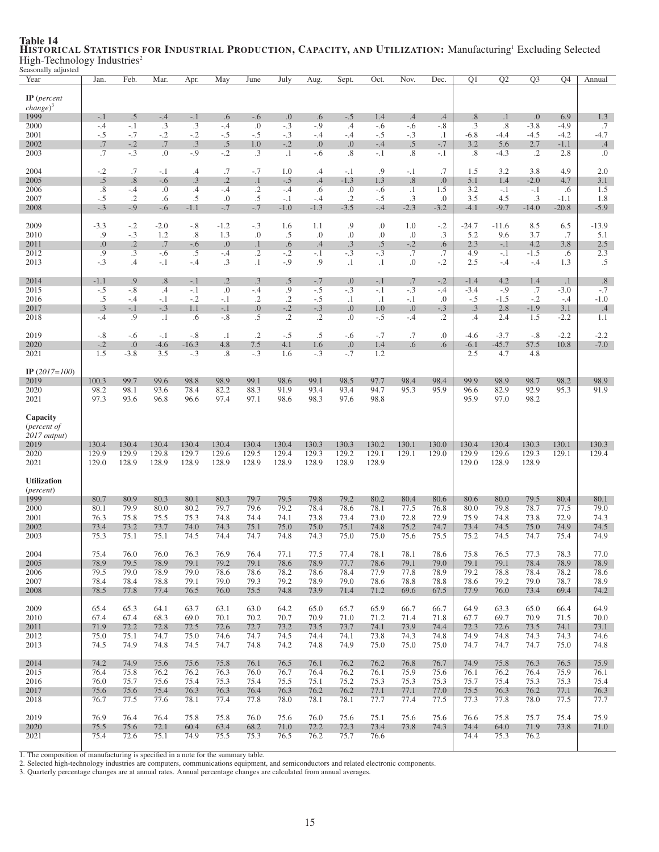| casonany aujusteu<br>Year                         | Jan.            | Feb.                | Mar.               | Apr.            | May                   | June               | July                | Aug.                | Sept.                | Oct.           | Nov.                      | Dec.              | $\overline{Q1}$    | $\overline{Q2}$ | $\overline{Q3}$ | Q4                  | Annual                    |
|---------------------------------------------------|-----------------|---------------------|--------------------|-----------------|-----------------------|--------------------|---------------------|---------------------|----------------------|----------------|---------------------------|-------------------|--------------------|-----------------|-----------------|---------------------|---------------------------|
| $IP$ (percent<br>$change)^3$<br>1999              | $-.1$           | .5                  | $-.4$              | $-.1$           | .6                    | $-.6$              | .0                  | .6                  | $-.5$                | 1.4            | .4                        | $.4\phantom{0}$   | .8                 | $\cdot$ 1       | 0.              | 6.9                 | 1.3                       |
| 2000                                              | $-.4$           | $-.1$               | .3                 | .3              | $-.4$                 | .0                 | $-.3$               | $-.9$               | $.4\,$               | $-.6$          | $-.6$                     | $-.8$             | $.3\phantom{0}$    | .8              | $-3.8$          | $-4.9$              | .7                        |
| 2001<br>2002                                      | $-.5$<br>.7     | $-.7$<br>$-.2$      | $-.2$<br>$.7\,$    | $-.2$<br>.3     | $-.5$<br>$.5\,$       | $-.5$<br>1.0       | $-.3$<br>$-.2$      | -.4<br>0.0          | $-.4$<br>0.          | $-.5$<br>$-.4$ | $-.3$<br>.5               | $\cdot$<br>$-.7$  | $-6.8$<br>3.2      | -4.4<br>5.6     | $-4.5$<br>2.7   | $-4.2$<br>$-1.1$    | $-4.7$<br>$.4\phantom{0}$ |
| 2003                                              | .7              | $-.3$               | $\cdot$            | $-.9$           | $-.2$                 | $\cdot$ 3          | $\cdot$ 1           | -.6                 | .8                   | $-.1$          | .8                        | -.1               | .8                 | $-4.3$          | .2              | 2.8                 | $\cdot$                   |
| 2004<br>2005                                      | $-.2$<br>.5     | .7<br>.8            | $-.1$<br>$-.6$     | $\cdot$ 4<br>.3 | .7<br>$\cdot$ .2      | $-.7$<br>$\cdot$ 1 | 1.0<br>$-.5$        | .4<br>.4            | $-.1$<br>$-1.3$      | .9<br>1.3      | $-.1$<br>.8               | .7<br>0.          | 1.5<br>5.1         | 3.2<br>1.4      | 3.8<br>$-2.0$   | 4.9<br>4.7          | 2.0<br>3.1                |
| 2006                                              | .8              | $-.4$               | 0.                 | .4              | $-.4$                 | $\cdot$ .2         | $-.4$               | .6                  | 0.                   | $-.6$          | $\cdot$ 1                 | 1.5               | 3.2                | $-.1$           | $-.1$           | .6                  | 1.5                       |
| 2007<br>2008                                      | $-.5$<br>$-.3$  | $\cdot$ .2<br>$-.9$ | .6<br>$-.6$        | .5<br>$-1.1$    | .0<br>$-.7$           | $.5\,$<br>$-.7$    | $-.1$<br>$-1.0$     | $-.4$<br>$-1.3$     | $\cdot$ .2<br>$-3.5$ | $-.5$<br>$-.4$ | $.3\phantom{0}$<br>$-2.3$ | $\cdot$<br>$-3.2$ | 3.5<br>$-4.1$      | 4.5<br>$-9.7$   | .3<br>$-14.0$   | $-1.1$<br>$-20.8$   | 1.8<br>$-5.9$             |
| 2009                                              | $-3.3$          | $-.2$               | $-2.0$             | $-.8$           | $-1.2$                | $-.3$              | 1.6                 | 1.1                 | .9                   | .0             | 1.0                       | $-.2$             | $-24.7$            | $-11.6$         | 8.5             | 6.5                 | $-13.9$                   |
| 2010<br>2011                                      | .9<br>0.        | $-.3$<br>$\cdot$ .2 | 1.2<br>.7          | .8<br>$-.6$     | 1.3<br>0.             | .0<br>$\cdot$      | .5<br>.6            | .0<br>.4            | $\cdot$<br>$\cdot$ 3 | .0<br>.5       | $\cdot$<br>$-.2$          | .3<br>.6          | 5.2<br>2.3         | 9.6<br>$-.1$    | 3.7<br>4.2      | .7<br>3.8           | 5.1<br>2.5                |
| 2012                                              | .9              | $\cdot$ 3           | $-.6$              | .5              | $-.4$                 | $\cdot$ .2         | $-.2$               | $-.1$<br>.9         | $-.3$                | $-.3$          | .7                        | .7                | 4.9                | $-.1$           | $-1.5$          | .6                  | 2.3                       |
| 2013                                              | $-.3$           | .4                  | $-.1$              | $-.4$           | $\cdot$ 3             | $\cdot$ 1          | $-.9$               |                     | $\cdot$              | $\cdot$        | 0.                        | $-.2$             | 2.5                | $-.4$           | $-.4$           | 1.3                 | .5                        |
| 2014<br>2015                                      | $-1.1$<br>$-.5$ | .9<br>$-.8$         | .8<br>$\cdot$      | $-.1$<br>$-.1$  | $\cdot$ .2<br>$\cdot$ | .3<br>$-.4$        | .5<br>.9            | $-.7$<br>$-.5$      | 0.<br>$-.3$          | $-.1$<br>$-.1$ | .7<br>$-.3$               | $-.2$<br>-.4      | $-1.4$<br>$-3.4$   | 4.2<br>$-.9$    | 1.4<br>.7       | $\cdot$ 1<br>$-3.0$ | .8<br>$-.7$               |
| 2016                                              | .5<br>.3        | $-.4$<br>$-.1$      | $-.1$              | $-.2$           | $-.1$                 | $\cdot$ .2         | $\cdot$ .2<br>$-.2$ | $-.5$               | $\cdot$ 1            | $\cdot$ 1      | $-.1$                     | 0.<br>$-.3$       | $-.5$<br>$\cdot$ 3 | $-1.5$<br>2.8   | $-.2$           | $-.4$               | $-1.0$                    |
| 2017<br>2018                                      | $-.4$           | .9                  | $-.3$<br>$\cdot$ 1 | 1.1<br>.6       | $-.1$<br>$-.8$        | 0.<br>.5           | $\overline{.2}$     | $-.3$<br>$\cdot$ .2 | 0.<br>.0             | 1.0<br>$-.5$   | 0.0<br>$-.4$              | $\cdot$ .2        | $\cdot$            | 2.4             | $-1.9$<br>1.5   | 3.1<br>$-2.2$       | $.4\phantom{0}$<br>1.1    |
| 2019                                              | $-.8$           | $-.6$               | $-.1$              | $-.8$           | $\cdot$ 1             | $\cdot$ .2         | $-.5$               | .5                  | $-.6$                | $-.7$          | .7                        | $\cdot$           | $-4.6$             | $-3.7$          | $-.8$           | $-2.2$              | $-2.2$                    |
| 2020                                              | $-.2$<br>1.5    | 0.<br>$-3.8$        | $-4.6$<br>3.5      | $-16.3$         | 4.8<br>$.8\,$         | 7.5                | 4.1                 | 1.6                 | 0.<br>$-.7$          | 1.4<br>1.2     | .6                        | .6                | $-6.1$<br>2.5      | $-45.7$         | 57.5            | 10.8                | $-7.0$                    |
| 2021                                              |                 |                     |                    | $-.3$           |                       | $-.3$              | 1.6                 | $-.3$               |                      |                |                           |                   |                    | 4.7             | 4.8             |                     |                           |
| IP $(2017=100)$<br>2019                           | 100.3           | 99.7                | 99.6               | 98.8            | 98.9                  | 99.1               | 98.6                | 99.1                | 98.5                 | 97.7           | 98.4                      | 98.4              | 99.9               | 98.9            | 98.7            | 98.2                | 98.9                      |
| 2020                                              | 98.2            | 98.1                | 93.6               | 78.4            | 82.2                  | 88.3               | 91.9                | 93.4                | 93.4                 | 94.7           | 95.3                      | 95.9              | 96.6               | 82.9            | 92.9            | 95.3                | 91.9                      |
| 2021                                              | 97.3            | 93.6                | 96.8               | 96.6            | 97.4                  | 97.1               | 98.6                | 98.3                | 97.6                 | 98.8           |                           |                   | 95.9               | 97.0            | 98.2            |                     |                           |
| Capacity<br>( <i>percent of</i><br>$2017$ output) |                 |                     |                    |                 |                       |                    |                     |                     |                      |                |                           |                   |                    |                 |                 |                     |                           |
| 2019<br>2020                                      | 130.4<br>129.9  | 130.4<br>129.9      | 130.4<br>129.8     | 130.4<br>129.7  | 130.4<br>129.6        | 130.4<br>129.5     | 130.4<br>129.4      | 130.3<br>129.3      | 130.3<br>129.2       | 130.2<br>129.1 | 130.1<br>129.1            | 130.0<br>129.0    | 130.4<br>129.9     | 130.4<br>129.6  | 130.3<br>129.3  | 130.1<br>129.1      | 130.3<br>129.4            |
| 2021                                              | 129.0           | 128.9               | 128.9              | 128.9           | 128.9                 | 128.9              | 128.9               | 128.9               | 128.9                | 128.9          |                           |                   | 129.0              | 128.9           | 128.9           |                     |                           |
| <b>Utilization</b><br>( <i>percent</i> )          |                 |                     |                    |                 |                       |                    |                     |                     |                      |                |                           |                   |                    |                 |                 |                     |                           |
| 1999<br>2000                                      | 80.7<br>80.1    | 80.9<br>79.9        | 80.3<br>80.0       | 80.1<br>80.2    | 80.3<br>79.7          | 79.7<br>79.6       | 79.5<br>79.2        | 79.8<br>78.4        | 79.2<br>78.6         | 80.2<br>78.1   | 80.4<br>77.5              | 80.6<br>76.8      | 80.6<br>80.0       | 80.0<br>79.8    | 79.5<br>78.7    | 80.4<br>77.5        | 80.1<br>79.0              |
| 2001                                              | 76.3            | 75.8                | 75.5               | 75.3            | 74.8                  | 74.4               | 74.1                | 73.8                | 73.4                 | 73.0           | 72.8                      | 72.9              | 75.9               | 74.8            | 73.8            | 72.9                | 74.3                      |
| 2002<br>2003                                      | 73.4<br>75.3    | 73.2<br>75.1        | 73.7<br>75.1       | 74.0<br>74.5    | 74.3<br>74.4          | 75.1<br>74.7       | 75.0<br>74.8        | 75.0<br>74.3        | 75.1<br>75.0         | 74.8<br>75.0   | 75.2<br>75.6              | 74.7<br>75.5      | 73.4<br>75.2       | 74.5<br>74.5    | 75.0<br>74.7    | 74.9<br>75.4        | 74.5<br>74.9              |
|                                                   |                 |                     |                    |                 |                       |                    |                     |                     |                      |                | 78.1                      | 78.6              | 75.8               | 76.5            |                 |                     |                           |
| 2004<br>2005                                      | 75.4<br>78.9    | 76.0<br>79.5        | 76.0<br>78.9       | 76.3<br>79.1    | 76.9<br>79.2          | 76.4<br>79.1       | 77.1<br>78.6        | 77.5<br>78.9        | 77.4<br>77.7         | 78.1<br>78.6   | 79.1                      | 79.0              | 79.1               | 79.1            | 77.3<br>78.4    | 78.3<br>78.9        | $77.0\,$<br>78.9          |
| 2006                                              | 79.5            | 79.0                | 78.9               | 79.0            | 78.6                  | 78.6               | 78.2                | 78.6                | 78.4                 | 77.9           | 77.8                      | 78.9              | 79.2               | 78.8            | 78.4            | 78.2                | 78.6                      |
| 2007<br>2008                                      | 78.4<br>78.5    | 78.4<br>77.8        | 78.8<br>77.4       | 79.1<br>76.5    | 79.0<br>76.0          | 79.3<br>75.5       | 79.2<br>74.8        | 78.9<br>73.9        | 79.0<br>71.4         | 78.6<br>71.2   | 78.8<br>69.6              | 78.8<br>67.5      | 78.6<br>77.9       | 79.2<br>76.0    | 79.0<br>73.4    | 78.7<br>69.4        | 78.9<br>74.2              |
| 2009                                              | 65.4            | 65.3                | 64.1               | 63.7            | 63.1                  | 63.0               | 64.2                | 65.0                | 65.7                 | 65.9           | 66.7                      | 66.7              | 64.9               | 63.3            | 65.0            | 66.4                | 64.9                      |
| 2010<br>2011                                      | 67.4<br>71.9    | 67.4<br>72.2        | 68.3<br>72.8       | 69.0<br>72.5    | 70.1<br>72.6          | 70.2<br>72.7       | 70.7<br>73.2        | 70.9<br>73.5        | 71.0<br>73.7         | 71.2<br>74.1   | 71.4<br>73.9              | 71.8<br>74.4      | 67.7<br>72.3       | 69.7<br>72.6    | 70.9<br>73.5    | 71.5<br>74.1        | 70.0<br>73.1              |
| 2012                                              | 75.0            | 75.1                | 74.7               | 75.0            | 74.6                  | 74.7               | 74.5                | 74.4                | 74.1                 | 73.8           | 74.3                      | 74.8              | 74.9               | 74.8            | 74.3            | 74.3                | 74.6                      |
| 2013                                              | 74.5            | 74.9                | 74.8               | 74.5            | 74.7                  | 74.8               | 74.2                | 74.8                | 74.9                 | 75.0           | 75.0                      | 75.0              | 74.7               | 74.7            | 74.7            | 75.0                | 74.8                      |
| 2014<br>2015                                      | 74.2<br>76.4    | 74.9<br>75.8        | 75.6<br>76.2       | 75.6<br>76.2    | 75.8<br>76.3          | 76.1<br>76.0       | 76.5<br>76.7        | 76.1<br>76.4        | 76.2<br>76.2         | 76.2<br>76.1   | 76.8<br>75.9              | 76.7<br>75.6      | 74.9<br>76.1       | 75.8<br>76.2    | 76.3<br>76.4    | 76.5<br>75.9        | 75.9<br>76.1              |
| 2016                                              | 76.0            | 75.7                | 75.6               | 75.4            | 75.3                  | 75.4               | 75.5                | 75.1                | 75.2                 | 75.3           | 75.3                      | 75.3              | 75.7               | 75.4            | 75.3            | 75.3                | 75.4                      |
| 2017<br>2018                                      | 75.6<br>76.7    | 75.6<br>77.5        | 75.4<br>77.6       | 76.3<br>78.1    | 76.3<br>77.4          | 76.4<br>77.8       | 76.3<br>78.0        | 76.2<br>78.1        | 76.2<br>78.1         | 77.1<br>77.7   | 77.1<br>77.4              | 77.0<br>77.5      | 75.5<br>77.3       | 76.3<br>77.8    | 76.2<br>78.0    | 77.1<br>77.5        | 76.3<br>77.7              |
| 2019                                              | 76.9            | 76.4                | 76.4               | 75.8            | 75.8                  | 76.0               | 75.6                | 76.0                | 75.6                 | 75.1           | 75.6                      | 75.6              | 76.6               | 75.8            | 75.7            | 75.4                | 75.9                      |
| 2020                                              | 75.5            | 75.6                | 72.1               | 60.4            | 63.4                  | 68.2               | 71.0                | 72.2                | 72.3                 | 73.4           | 73.8                      | 74.3              | 74.4               | 64.0            | 71.9            | 73.8                | 71.0                      |
| 2021                                              | 75.4            | 72.6                | 75.1               | 74.9            | 75.5                  | 75.3               | 76.5                | 76.2                | 75.7                 | 76.6           |                           |                   | 74.4               | 75.3            | 76.2            |                     |                           |

### Table 14<br>HISTORICAL STATISTICS FOR INDUSTRIAL PRODUCTION, CAPACITY, AND UTILIZATION: Manufacturing' Excluding Selected High-Technology Industries<sup>2</sup> Seasonally adjusted

1. The composition of manufacturing is specified in a note for the summary table. 2. Selected high-technology industries are computers, communications equipment, and semiconductors and related electronic components.

3. Quarterly percentage changes are at annual rates. Annual percentage changes are calculated from annual averages.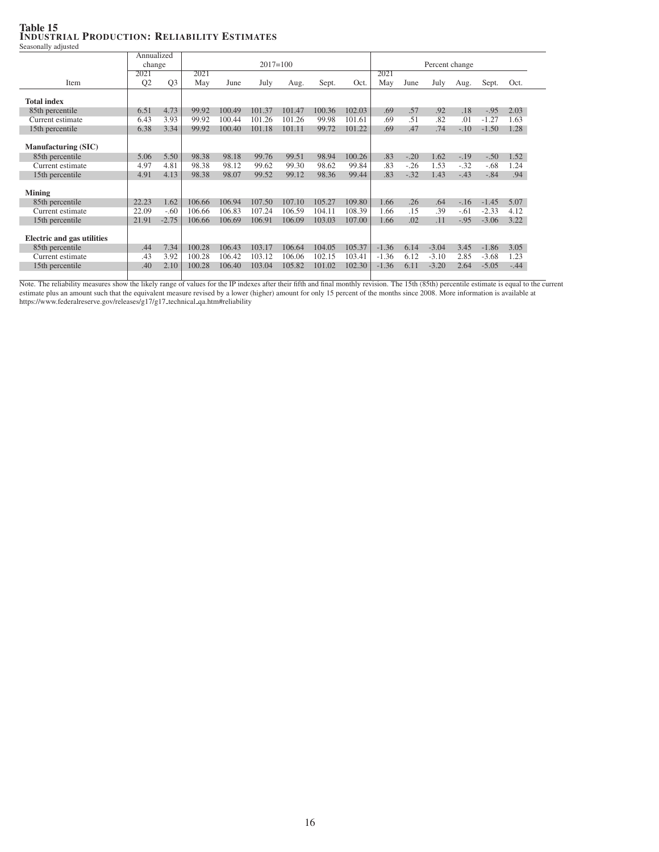### Table 15 INDUSTRIAL PRODUCTION: RELIABILITY ESTIMATES Seasonally adjusted

Annualized change 2017=100 Percent change<br>2021 2021 2021 2021 2021 2021 2021 Item Q2 Q3 May June July Aug. Sept. Oct. May June July Aug. Sept. Oct. Total index 85th percentile 6.51 4.73 99.92 100.49 101.37 101.47 100.36 102.03 69 57 .92 .18 -.95 2.03<br>Current estimate 6.43 3.93 99.92 100.44 101.26 101.26 99.98 101.61 69 51 .82 .01 -1.27 1.63 Current estimate 6.43 3.93 99.92 100.44 101.26 101.26 99.98 101.61 .69 .51 .82 .01 -1.27 1.63 15th percentile 6.38 3.34 99.92 100.40 101.18 101.11 99.72 101.22 .69 .47 .74 -.10 -1.50 1.28 Manufacturing (SIC) 85th percentile 5.06 5.50 98.38 98.18 99.76 99.51 98.94 100.26 .83 -.20 1.62 -.19 -.50 1.52<br>Current estimate 4.97 4.81 98.38 98.12 99.62 99.30 98.62 99.84 .83 -.26 1.53 -.32 -.68 1.24 Current estimate 4.97 4.81 98.38 98.12 99.62 99.30 98.62 99.84 .83 -.26 1.53 -.32 -.68 1.24 15th percentile 4.91 4.13 98.38 98.07 99.52 99.12 98.36 99.44 .83 -.32 1.43 -.43 -.84 .94 Mining 85th percentile 22.23 1.62 106.66 106.94 107.50 107.10 105.27 109.80 1.66 .26 .64 -.16 -1.45 5.07<br>Current estimate 22.09 -.60 106.66 106.83 107.24 106.59 104.11 108.39 1.66 .15 .39 -.61 -2.33 4.12 Current estimate 22.09 -.60 106.66 106.83 107.24 106.59 104.11 108.39 1.66 .15 .39 -.61 -2.33 4.12 15th percentile 21.91 -2.75 106.66 106.69 106.91 106.09 103.03 107.00 1.66 .02 .11 -.95 -3.06 3.22 Electric and gas utilities 85th percentile .44 7.34 100.28 106.43 103.17 106.64 104.05 105.37 -1.36 6.14 -3.04 3.45 -1.86 3.05<br>Current estimate .43 3.92 100.28 106.42 103.12 106.06 102.15 103.41 -1.36 6.12 -3.10 2.85 -3.68 1.23 Current estimate .43 3.92 100.28 106.42 103.12 106.06 102.15 103.41 -1.36 6.12 -3.10 2.85 -3.68 1.23 15th percentile .40 2.10 100.28 106.40 103.04 105.82 101.02 102.30 -1.36 6.11 -3.20 2.64 -5.05 -.44

Note. The reliability measures show the likely range of values for the IP indexes after their fifth and final monthly revision. The 15th (85th) percentile estimate is equal to the current estimate plus an amount such that the equivalent measure revised by a lower (higher) amount for only 15 percent of the months since 2008. More information is available at https://www.federalreserve.gov/releases/g17/g17\_technical\_qa.htm#reliability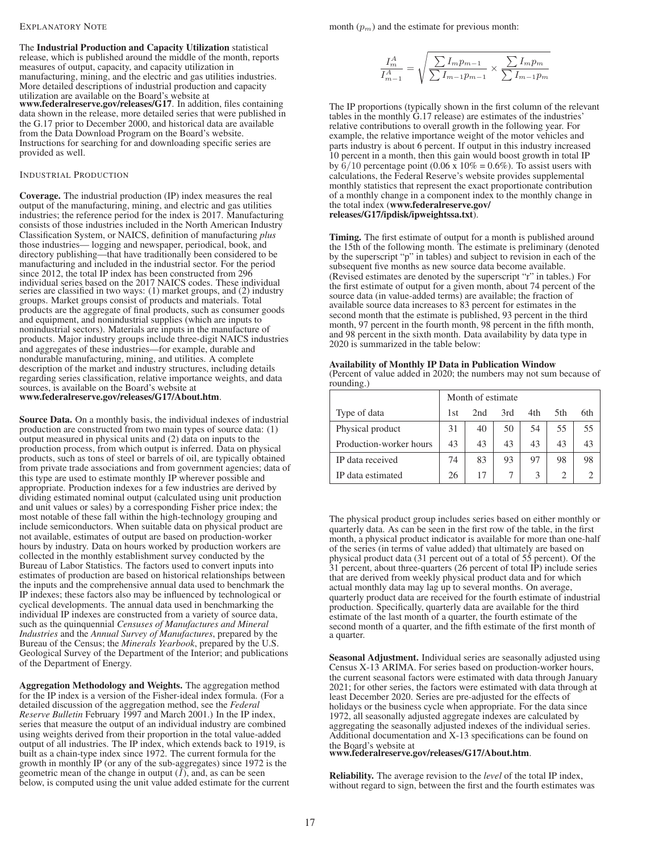#### EXPLANATORY NOTE

The Industrial Production and Capacity Utilization statistical release, which is published around the middle of the month, reports measures of output, capacity, and capacity utilization in manufacturing, mining, and the electric and gas utilities industries. More detailed descriptions of industrial production and capacity utilization are available on the Board's website at www.federalreserve.gov/releases/G17. In addition, files containing data shown in the release, more detailed series that were published in the G.17 prior to December 2000, and historical data are available from the Data Download Program on the Board's website. Instructions for searching for and downloading specific series are provided as well.

### INDUSTRIAL PRODUCTION

Coverage. The industrial production (IP) index measures the real output of the manufacturing, mining, and electric and gas utilities industries; the reference period for the index is 2017. Manufacturing consists of those industries included in the North American Industry Classification System, or NAICS, definition of manufacturing *plus* those industries— logging and newspaper, periodical, book, and directory publishing—that have traditionally been considered to be manufacturing and included in the industrial sector. For the period since 2012, the total IP index has been constructed from 296 individual series based on the 2017 NAICS codes. These individual series are classified in two ways: (1) market groups, and (2) industry groups. Market groups consist of products and materials. Total products are the aggregate of final products, such as consumer goods and equipment, and nonindustrial supplies (which are inputs to nonindustrial sectors). Materials are inputs in the manufacture of products. Major industry groups include three-digit NAICS industries and aggregates of these industries—for example, durable and nondurable manufacturing, mining, and utilities. A complete description of the market and industry structures, including details regarding series classification, relative importance weights, and data sources, is available on the Board's website at www.federalreserve.gov/releases/G17/About.htm.

Source Data. On a monthly basis, the individual indexes of industrial production are constructed from two main types of source data: (1) output measured in physical units and (2) data on inputs to the production process, from which output is inferred. Data on physical products, such as tons of steel or barrels of oil, are typically obtained from private trade associations and from government agencies; data of this type are used to estimate monthly IP wherever possible and appropriate. Production indexes for a few industries are derived by dividing estimated nominal output (calculated using unit production and unit values or sales) by a corresponding Fisher price index; the most notable of these fall within the high-technology grouping and include semiconductors. When suitable data on physical product are not available, estimates of output are based on production-worker hours by industry. Data on hours worked by production workers are collected in the monthly establishment survey conducted by the Bureau of Labor Statistics. The factors used to convert inputs into estimates of production are based on historical relationships between the inputs and the comprehensive annual data used to benchmark the IP indexes; these factors also may be influenced by technological or cyclical developments. The annual data used in benchmarking the individual IP indexes are constructed from a variety of source data, such as the quinquennial *Censuses of Manufactures and Mineral Industries* and the *Annual Survey of Manufactures*, prepared by the Bureau of the Census; the *Minerals Yearbook*, prepared by the U.S. Geological Survey of the Department of the Interior; and publications of the Department of Energy.

Aggregation Methodology and Weights. The aggregation method for the IP index is a version of the Fisher-ideal index formula. (For a detailed discussion of the aggregation method, see the *Federal Reserve Bulletin* February 1997 and March 2001.) In the IP index, series that measure the output of an individual industry are combined using weights derived from their proportion in the total value-added output of all industries. The IP index, which extends back to 1919, is built as a chain-type index since 1972. The current formula for the growth in monthly IP (or any of the sub-aggregates) since 1972 is the geometric mean of the change in output  $(I)$ , and, as can be seen below, is computed using the unit value added estimate for the current month  $(p_m)$  and the estimate for previous month:

$$
\frac{I_m^A}{I_{m-1}^A} = \sqrt{\frac{\sum I_m p_{m-1}}{\sum I_{m-1} p_{m-1}}} \times \frac{\sum I_m p_m}{\sum I_{m-1} p_m}
$$

The IP proportions (typically shown in the first column of the relevant tables in the monthly G.17 release) are estimates of the industries' relative contributions to overall growth in the following year. For example, the relative importance weight of the motor vehicles and parts industry is about 6 percent. If output in this industry increased 10 percent in a month, then this gain would boost growth in total IP by  $6/10$  percentage point (0.06 x  $10\% = 0.6\%$ ). To assist users with calculations, the Federal Reserve's website provides supplemental monthly statistics that represent the exact proportionate contribution of a monthly change in a component index to the monthly change in the total index (www.federalreserve.gov/ releases/G17/ipdisk/ipweightssa.txt).

Timing. The first estimate of output for a month is published around the 15th of the following month. The estimate is preliminary (denoted by the superscript "p" in tables) and subject to revision in each of the subsequent five months as new source data become available. (Revised estimates are denoted by the superscript "r" in tables.) For the first estimate of output for a given month, about 74 percent of the source data (in value-added terms) are available; the fraction of available source data increases to 83 percent for estimates in the second month that the estimate is published, 93 percent in the third month, 97 percent in the fourth month, 98 percent in the fifth month, and 98 percent in the sixth month. Data availability by data type in 2020 is summarized in the table below:

Availability of Monthly IP Data in Publication Window (Percent of value added in 2020; the numbers may not sum because of rounding.)

|                         |     | Month of estimate |     |     |      |     |
|-------------------------|-----|-------------------|-----|-----|------|-----|
| Type of data            | 1st | 2nd               | 3rd | 4th | .5th | 6th |
| Physical product        | 31  | 40                | 50  | 54  | 55   | 55  |
| Production-worker hours | 43  | 43                | 43  | 43  | 43   | 43  |
| IP data received        | 74  | 83                | 93  | 97  | 98   | 98  |
| IP data estimated       | 26  | 17                |     |     |      |     |

The physical product group includes series based on either monthly or quarterly data. As can be seen in the first row of the table, in the first month, a physical product indicator is available for more than one-half of the series (in terms of value added) that ultimately are based on physical product data (31 percent out of a total of 55 percent). Of the 31 percent, about three-quarters (26 percent of total IP) include series that are derived from weekly physical product data and for which actual monthly data may lag up to several months. On average, quarterly product data are received for the fourth estimate of industrial production. Specifically, quarterly data are available for the third estimate of the last month of a quarter, the fourth estimate of the second month of a quarter, and the fifth estimate of the first month of a quarter.

Seasonal Adjustment. Individual series are seasonally adjusted using Census X-13 ARIMA. For series based on production-worker hours, the current seasonal factors were estimated with data through January 2021; for other series, the factors were estimated with data through at least December 2020. Series are pre-adjusted for the effects of holidays or the business cycle when appropriate. For the data since 1972, all seasonally adjusted aggregate indexes are calculated by aggregating the seasonally adjusted indexes of the individual series. Additional documentation and X-13 specifications can be found on the Board's website at www.federalreserve.gov/releases/G17/About.htm.

Reliability. The average revision to the *level* of the total IP index, without regard to sign, between the first and the fourth estimates was